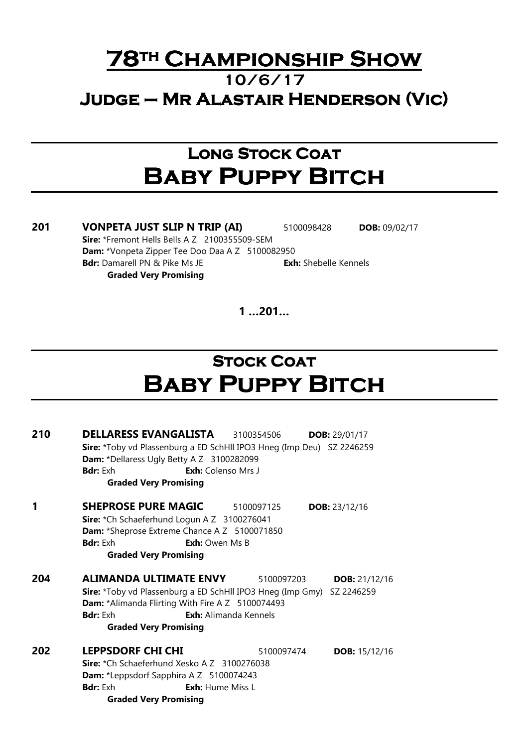### **78TH CHAMPIONSHIP SHOW** 10/6/17 JUDGE – MR ALASTAIR HENDERSON (VIC)

## Long Stock Coat **BABY PUPPY BITCH**

201 VONPETA JUST SLIP N TRIP (AI) 5100098428 DOB: 09/02/17 Sire: \*Fremont Hells Bells A Z 2100355509-SEM Dam: \*Vonpeta Zipper Tee Doo Daa A Z 5100082950 **Bdr:** Damarell PN & Pike Ms JE **Exh:** Shebelle Kennels Graded Very Promising

 $1...201...$ 

# **STOCK COAT** Baby Puppy Bitch

| 210 | <b>DELLARESS EVANGALISTA</b> 3100354506<br>Sire: *Toby vd Plassenburg a ED SchHll IPO3 Hneg (Imp Deu) SZ 2246259<br>Dam: *Dellaress Ugly Betty A Z 3100282099<br><b>Bdr:</b> Fxh<br>Exh: Colenso Mrs J<br><b>Graded Very Promising</b>        |            | <b>DOB:</b> 29/01/17   |
|-----|-----------------------------------------------------------------------------------------------------------------------------------------------------------------------------------------------------------------------------------------------|------------|------------------------|
| 1   | <b>SHEPROSE PURE MAGIC</b><br>Sire: *Ch Schaeferhund Logun A Z 3100276041<br>Dam: *Sheprose Extreme Chance A Z 5100071850<br><b>Bdr:</b> Exh<br><b>Exh:</b> Owen Ms B<br><b>Graded Very Promising</b>                                         | 5100097125 | <b>DOB:</b> $23/12/16$ |
| 204 | <b>ALIMANDA ULTIMATE ENVY</b><br>Sire: *Toby vd Plassenburg a ED SchHll IPO3 Hneg (Imp Gmy) SZ 2246259<br>Dam: *Alimanda Flirting With Fire A Z 5100074493<br><b>Bdr:</b> Fxh<br><b>Exh:</b> Alimanda Kennels<br><b>Graded Very Promising</b> | 5100097203 | <b>DOB:</b> $21/12/16$ |
| 202 | <b>LEPPSDORF CHI CHI</b><br>Sire: *Ch Schaeferhund Xesko A Z 3100276038<br><b>Dam:</b> *Leppsdorf Sapphira A Z 5100074243<br><b>Bdr:</b> Exh<br><b>Exh:</b> Hume Miss L<br><b>Graded Very Promising</b>                                       | 5100097474 | <b>DOB:</b> 15/12/16   |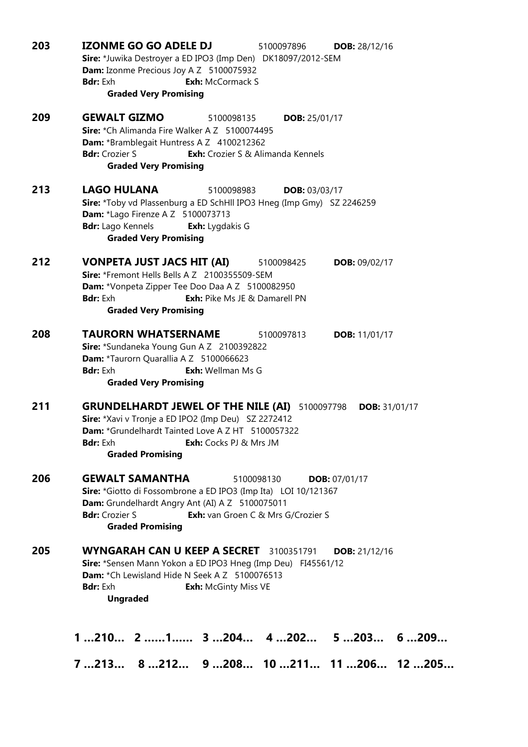| 203 | <b>IZONME GO GO ADELE DJ</b><br>5100097896<br><b>DOB:</b> 28/12/16<br>Sire: *Juwika Destroyer a ED IPO3 (Imp Den) DK18097/2012-SEM<br>Dam: Izonme Precious Joy A Z 5100075932<br><b>Bdr:</b> Exh<br><b>Exh:</b> McCormack S<br><b>Graded Very Promising</b>                        |
|-----|------------------------------------------------------------------------------------------------------------------------------------------------------------------------------------------------------------------------------------------------------------------------------------|
| 209 | <b>GEWALT GIZMO</b><br>5100098135<br><b>DOB:</b> 25/01/17<br>Sire: *Ch Alimanda Fire Walker A Z 5100074495<br>Dam: *Bramblegait Huntress A Z 4100212362<br><b>Bdr:</b> Crozier S<br><b>Exh:</b> Crozier S & Alimanda Kennels<br><b>Graded Very Promising</b>                       |
| 213 | <b>LAGO HULANA</b><br>5100098983<br><b>DOB: 03/03/17</b><br>Sire: *Toby vd Plassenburg a ED SchHll IPO3 Hneg (Imp Gmy) SZ 2246259<br>Dam: *Lago Firenze A Z 5100073713<br><b>Bdr:</b> Lago Kennels<br><b>Exh:</b> Lygdakis G<br><b>Graded Very Promising</b>                       |
| 212 | <b>VONPETA JUST JACS HIT (AI)</b><br><b>DOB: 09/02/17</b><br>5100098425<br>Sire: *Fremont Hells Bells A Z 2100355509-SEM<br>Dam: *Vonpeta Zipper Tee Doo Daa A Z 5100082950<br><b>Bdr:</b> Exh<br>Exh: Pike Ms JE & Damarell PN<br><b>Graded Very Promising</b>                    |
| 208 | <b>TAURORN WHATSERNAME</b><br>5100097813<br><b>DOB:</b> 11/01/17<br>Sire: *Sundaneka Young Gun A Z 2100392822<br>Dam: *Taurorn Quarallia A Z 5100066623<br><b>Bdr:</b> Exh<br><b>Exh:</b> Wellman Ms G<br><b>Graded Very Promising</b>                                             |
| 211 | <b>GRUNDELHARDT JEWEL OF THE NILE (AI)</b> 5100097798<br><b>DOB:</b> 31/01/17<br>Sire: *Xavi v Tronje a ED IPO2 (Imp Deu) SZ 2272412<br>Dam: *Grundelhardt Tainted Love A Z HT 5100057322<br><b>Bdr:</b> Exh<br>Exh: Cocks PJ & Mrs JM<br><b>Graded Promising</b>                  |
| 206 | <b>GEWALT SAMANTHA</b><br>5100098130<br><b>DOB:</b> 07/01/17<br>Sire: *Giotto di Fossombrone a ED IPO3 (Imp Ita) LOI 10/121367<br>Dam: Grundelhardt Angry Ant (AI) A Z 5100075011<br><b>Bdr:</b> Crozier S<br><b>Exh:</b> van Groen C & Mrs G/Crozier S<br><b>Graded Promising</b> |
| 205 | <b>WYNGARAH CAN U KEEP A SECRET</b> 3100351791<br>DOB: $21/12/16$<br>Sire: *Sensen Mann Yokon a ED IPO3 Hneg (Imp Deu) FI45561/12<br>Dam: *Ch Lewisland Hide N Seek A Z 5100076513<br><b>Bdr:</b> Exh<br><b>Exh: McGinty Miss VE</b><br><b>Ungraded</b>                            |
|     | $1210$ $211$ $3204$ $4202$ $5203$ $6209$<br>7213 8212 9208 10211 11206 12205                                                                                                                                                                                                       |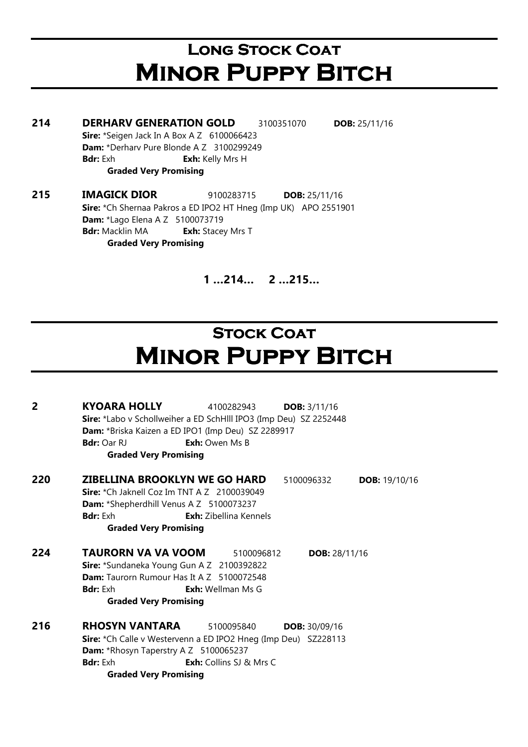# LONG STOCK COAT **MINOR PUPPY BITCH**

214 DERHARV GENERATION GOLD 3100351070 DOB: 25/11/16 Sire: \*Seigen Jack In A Box A Z 6100066423 Dam: \*Derharv Pure Blonde A Z 3100299249 **Bdr:** Exh **Exh:** Kelly Mrs H Graded Very Promising 215 IMAGICK DIOR 9100283715 DOB: 25/11/16

Sire: \*Ch Shernaa Pakros a ED IPO2 HT Hneg (Imp UK) APO 2551901 **Dam:** \*Lago Elena A Z 5100073719 **Bdr:** Macklin MA **Exh:** Stacey Mrs T Graded Very Promising

1 …214… 2 …215…

# **STOCK COAT MINOR PUPPY BITCH**

| 2   | <b>KYOARA HOLLY</b><br>4100282943<br><b>DOB:</b> $3/11/16$                                                              |  |  |  |
|-----|-------------------------------------------------------------------------------------------------------------------------|--|--|--|
|     | Sire: *Labo v Schollweiher a ED SchHlll IPO3 (Imp Deu) SZ 2252448<br>Dam: *Briska Kaizen a ED IPO1 (Imp Deu) SZ 2289917 |  |  |  |
|     |                                                                                                                         |  |  |  |
|     | <b>Bdr: Oar RJ</b><br><b>Exh:</b> Owen Ms B                                                                             |  |  |  |
|     | <b>Graded Very Promising</b>                                                                                            |  |  |  |
| 220 | <b>ZIBELLINA BROOKLYN WE GO HARD</b><br><b>DOB:</b> 19/10/16<br>5100096332                                              |  |  |  |
|     | <b>Sire:</b> $*$ Ch Jaknell Coz Im TNT A $Z$ 2100039049                                                                 |  |  |  |
|     | <b>Dam:</b> *Shepherdhill Venus A Z 5100073237                                                                          |  |  |  |
|     | <b>Bdr:</b> Exh<br><b>Exh:</b> Zibellina Kennels                                                                        |  |  |  |
|     | <b>Graded Very Promising</b>                                                                                            |  |  |  |
| 224 | <b>TAURORN VA VA VOOM</b><br><b>DOB: 28/11/16</b><br>5100096812                                                         |  |  |  |
|     | Sire: *Sundaneka Young Gun A Z 2100392822                                                                               |  |  |  |
|     | <b>Dam:</b> Taurorn Rumour Has It A Z 5100072548                                                                        |  |  |  |
|     | <b>Bdr:</b> Exh<br><b>Exh:</b> Wellman Ms G                                                                             |  |  |  |
|     | <b>Graded Very Promising</b>                                                                                            |  |  |  |
| 216 | RHOSYN VANTARA<br>5100095840<br><b>DOB: 30/09/16</b>                                                                    |  |  |  |
|     | Sire: *Ch Calle v Westervenn a ED IPO2 Hneg (Imp Deu) SZ228113                                                          |  |  |  |
|     | <b>Dam:</b> *Rhosyn Taperstry A Z 5100065237                                                                            |  |  |  |
|     | <b>Bdr:</b> Exh<br><b>Exh:</b> Collins SJ & Mrs C                                                                       |  |  |  |
|     | <b>Graded Very Promising</b>                                                                                            |  |  |  |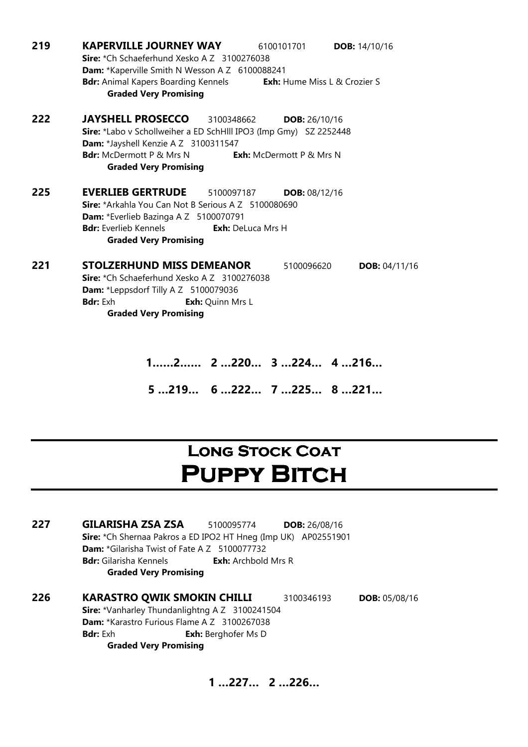| 219 | <b>KAPERVILLE JOURNEY WAY</b><br>6100101701<br>DOB: 14/10/16<br>Sire: *Ch Schaeferhund Xesko A Z 3100276038                                                                                                                                                |  |  |  |
|-----|------------------------------------------------------------------------------------------------------------------------------------------------------------------------------------------------------------------------------------------------------------|--|--|--|
|     | Dam: *Kaperville Smith N Wesson A Z 6100088241                                                                                                                                                                                                             |  |  |  |
|     | <b>Bdr:</b> Animal Kapers Boarding Kennels<br><b>Exh:</b> Hume Miss L & Crozier S<br><b>Graded Very Promising</b>                                                                                                                                          |  |  |  |
| 222 | <b>JAYSHELL PROSECCO</b><br>3100348662<br><b>DOB:</b> 26/10/16                                                                                                                                                                                             |  |  |  |
|     | Sire: *Labo v Schollweiher a ED SchHlll IPO3 (Imp Gmy) SZ 2252448<br>Dam: *Jayshell Kenzie A Z 3100311547                                                                                                                                                  |  |  |  |
|     | <b>Bdr:</b> McDermott P & Mrs N<br><b>Exh:</b> McDermott P & Mrs N<br><b>Graded Very Promising</b>                                                                                                                                                         |  |  |  |
| 225 | <b>EVERLIEB GERTRUDE</b><br>5100097187<br><b>DOB: 08/12/16</b><br><b>Sire:</b> *Arkahla You Can Not B Serious A Z 5100080690<br>Dam: *Everlieb Bazinga A Z 5100070791<br><b>Bdr:</b> Everlieb Kennels<br>Exh: DeLuca Mrs H<br><b>Graded Very Promising</b> |  |  |  |
| 221 | <b>STOLZERHUND MISS DEMEANOR</b><br>5100096620<br>DOB: 04/11/16<br>Sire: *Ch Schaeferhund Xesko A Z 3100276038<br>Dam: *Leppsdorf Tilly A Z 5100079036<br><b>Bdr:</b> Exh<br><b>Exh:</b> Quinn Mrs L<br><b>Graded Very Promising</b>                       |  |  |  |
|     | 2 2220 3224 4216                                                                                                                                                                                                                                           |  |  |  |

5 …219… 6 …222… 7 …225… 8 …221…

## LONG STOCK COAT **PUPPY BITCH**

227 GILARISHA ZSA ZSA 5100095774 DOB: 26/08/16 Sire: \*Ch Shernaa Pakros a ED IPO2 HT Hneg (Imp UK) AP02551901 Dam: \*Gilarisha Twist of Fate A Z 5100077732 **Bdr:** Gilarisha Kennels **Exh:** Archbold Mrs R Graded Very Promising

226 KARASTRO QWIK SMOKIN CHILLI 3100346193 DOB: 05/08/16 Sire: \*Vanharley Thundanlightng A Z 3100241504 Dam: \*Karastro Furious Flame A Z 3100267038 **Bdr:** Exh **Exh:** Berghofer Ms D Graded Very Promising

1 …227… 2 …226…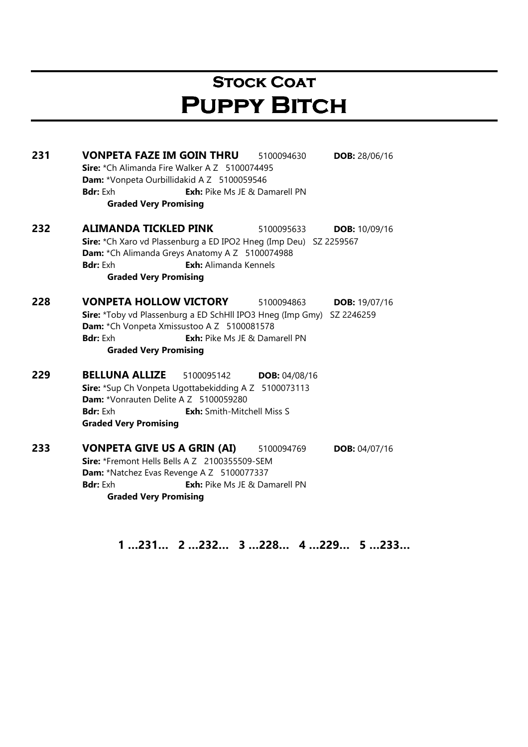## **STOCK COAT PUPPY BITCH**

231 VONPETA FAZE IM GOIN THRU 5100094630 DOB: 28/06/16 Sire: \*Ch Alimanda Fire Walker A Z 5100074495 Dam: \*Vonpeta Ourbillidakid A Z 5100059546 **Bdr:** Exh **Exh:** Pike Ms JE & Damarell PN Graded Very Promising **232 ALIMANDA TICKLED PINK** 5100095633 **DOB:** 10/09/16 Sire: \*Ch Xaro vd Plassenburg a ED IPO2 Hneg (Imp Deu) SZ 2259567 Dam: \*Ch Alimanda Greys Anatomy A Z 5100074988 Bdr: Exh Exh: Alimanda Kennels Graded Very Promising 228 VONPETA HOLLOW VICTORY 5100094863 DOB: 19/07/16 Sire: \*Toby vd Plassenburg a ED SchHll IPO3 Hneg (Imp Gmy) SZ 2246259 Dam: \*Ch Vonpeta Xmissustoo A Z 5100081578 **Bdr:** Exh **Exh:** Pike Ms JE & Damarell PN Graded Very Promising 229 BELLUNA ALLIZE 5100095142 DOB: 04/08/16 Sire: \*Sup Ch Vonpeta Ugottabekidding A Z 5100073113 Dam: \*Vonrauten Delite A Z 5100059280 **Bdr:** Exh **Exh:** Smith-Mitchell Miss S Graded Very Promising 233 VONPETA GIVE US A GRIN (AI) 5100094769 DOB: 04/07/16 Sire: \*Fremont Hells Bells A Z 2100355509-SEM Dam: \*Natchez Evas Revenge A Z 5100077337 **Bdr:** Exh **Exh:** Pike Ms JE & Damarell PN Graded Very Promising

1 …231… 2 …232… 3 …228… 4 …229… 5 …233…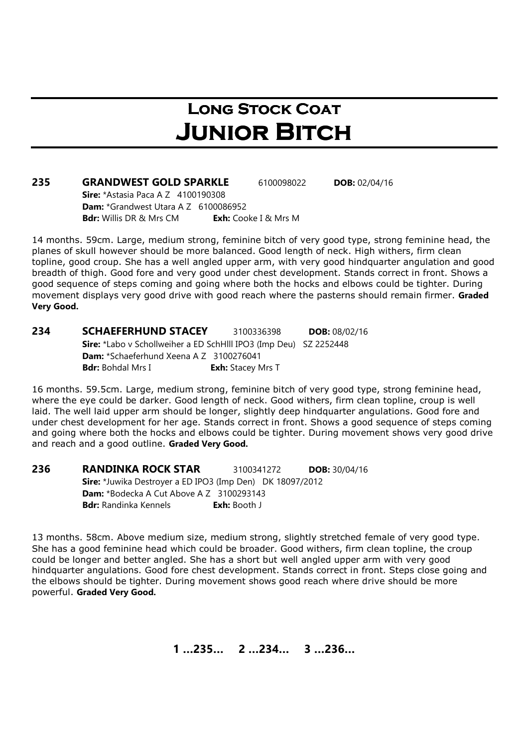## LONG STOCK COAT **JUNIOR BITCH**

| 235 | <b>GRANDWEST GOLD SPARKLE</b>                    | 6100098022                  | <b>DOB:</b> 02/04/16 |  |  |
|-----|--------------------------------------------------|-----------------------------|----------------------|--|--|
|     | <b>Sire:</b> *Astasia Paca A Z $4100190308$      |                             |                      |  |  |
|     | <b>Dam:</b> $*$ Grandwest Utara A Z $6100086952$ |                             |                      |  |  |
|     | <b>Bdr:</b> Willis DR & Mrs CM                   | <b>Exh:</b> Cooke I & Mrs M |                      |  |  |

14 months. 59cm. Large, medium strong, feminine bitch of very good type, strong feminine head, the planes of skull however should be more balanced. Good length of neck. High withers, firm clean topline, good croup. She has a well angled upper arm, with very good hindquarter angulation and good breadth of thigh. Good fore and very good under chest development. Stands correct in front. Shows a good sequence of steps coming and going where both the hocks and elbows could be tighter. During movement displays very good drive with good reach where the pasterns should remain firmer. Graded Very Good.

234 SCHAEFERHUND STACEY 3100336398 DOB: 08/02/16 Sire: \*Labo v Schollweiher a ED SchHlll IPO3 (Imp Deu) SZ 2252448 Dam: \*Schaeferhund Xeena A Z 3100276041 **Bdr:** Bohdal Mrs I **Exh:** Stacey Mrs T

16 months. 59.5cm. Large, medium strong, feminine bitch of very good type, strong feminine head, where the eye could be darker. Good length of neck. Good withers, firm clean topline, croup is well laid. The well laid upper arm should be longer, slightly deep hindquarter angulations. Good fore and under chest development for her age. Stands correct in front. Shows a good sequence of steps coming and going where both the hocks and elbows could be tighter. During movement shows very good drive and reach and a good outline. Graded Very Good.

**236 RANDINKA ROCK STAR** 3100341272 **DOB:** 30/04/16 Sire: \*Juwika Destroyer a ED IPO3 (Imp Den) DK 18097/2012 Dam: \*Bodecka A Cut Above A Z 3100293143 **Bdr:** Randinka Kennels **Exh:** Booth J

13 months. 58cm. Above medium size, medium strong, slightly stretched female of very good type. She has a good feminine head which could be broader. Good withers, firm clean topline, the croup could be longer and better angled. She has a short but well angled upper arm with very good hindquarter angulations. Good fore chest development. Stands correct in front. Steps close going and the elbows should be tighter. During movement shows good reach where drive should be more powerful. Graded Very Good.

1 …235… 2 …234… 3 …236…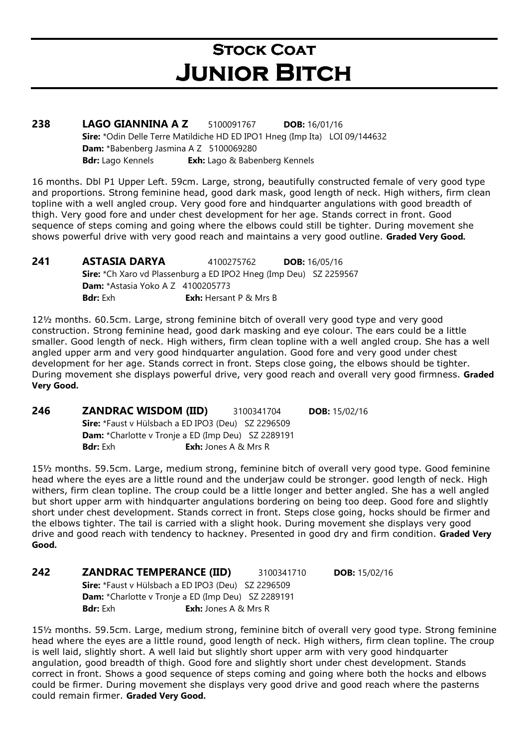# **STOCK COAT** Junior Bitch

238 LAGO GIANNINA A Z 5100091767 DOB: 16/01/16 Sire: \*Odin Delle Terre Matildiche HD ED IPO1 Hneg (Imp Ita) LOI 09/144632 Dam: \*Babenberg Jasmina A Z 5100069280 Bdr: Lago Kennels Exh: Lago & Babenberg Kennels

16 months. Dbl P1 Upper Left. 59cm. Large, strong, beautifully constructed female of very good type and proportions. Strong feminine head, good dark mask, good length of neck. High withers, firm clean topline with a well angled croup. Very good fore and hindquarter angulations with good breadth of thigh. Very good fore and under chest development for her age. Stands correct in front. Good sequence of steps coming and going where the elbows could still be tighter. During movement she shows powerful drive with very good reach and maintains a very good outline. Graded Very Good.

**241 •• ASTASIA DARYA 4100275762 •• DOB: 16/05/16** Sire: \*Ch Xaro vd Plassenburg a ED IPO2 Hneg (Imp Deu) SZ 2259567 **Dam:** \*Astasia Yoko A Z 4100205773 **Bdr:** Exh: **Exh:** Hersant P & Mrs B

12½ months. 60.5cm. Large, strong feminine bitch of overall very good type and very good construction. Strong feminine head, good dark masking and eye colour. The ears could be a little smaller. Good length of neck. High withers, firm clean topline with a well angled croup. She has a well angled upper arm and very good hindquarter angulation. Good fore and very good under chest development for her age. Stands correct in front. Steps close going, the elbows should be tighter. During movement she displays powerful drive, very good reach and overall very good firmness. Graded Very Good.

246 ZANDRAC WISDOM (IID) 3100341704 DOB: 15/02/16 Sire: \*Faust v Hülsbach a ED IPO3 (Deu) SZ 2296509 Dam: \*Charlotte v Tronje a ED (Imp Deu) SZ 2289191 **Bdr:** Exh **Exh:** Jones A & Mrs R

15½ months. 59.5cm. Large, medium strong, feminine bitch of overall very good type. Good feminine head where the eyes are a little round and the underjaw could be stronger. good length of neck. High withers, firm clean topline. The croup could be a little longer and better angled. She has a well angled but short upper arm with hindquarter angulations bordering on being too deep. Good fore and slightly short under chest development. Stands correct in front. Steps close going, hocks should be firmer and the elbows tighter. The tail is carried with a slight hook. During movement she displays very good drive and good reach with tendency to hackney. Presented in good dry and firm condition. Graded Very Good.

242 ZANDRAC TEMPERANCE (IID) 3100341710 DOB: 15/02/16 Sire: \*Faust y Hülsbach a ED IPO3 (Deu) SZ 2296509 Dam: \*Charlotte v Tronje a ED (Imp Deu) SZ 2289191 **Bdr:** Exh **Exh:** Jones A & Mrs R

15½ months. 59.5cm. Large, medium strong, feminine bitch of overall very good type. Strong feminine head where the eyes are a little round, good length of neck. High withers, firm clean topline. The croup is well laid, slightly short. A well laid but slightly short upper arm with very good hindquarter angulation, good breadth of thigh. Good fore and slightly short under chest development. Stands correct in front. Shows a good sequence of steps coming and going where both the hocks and elbows could be firmer. During movement she displays very good drive and good reach where the pasterns could remain firmer. Graded Very Good.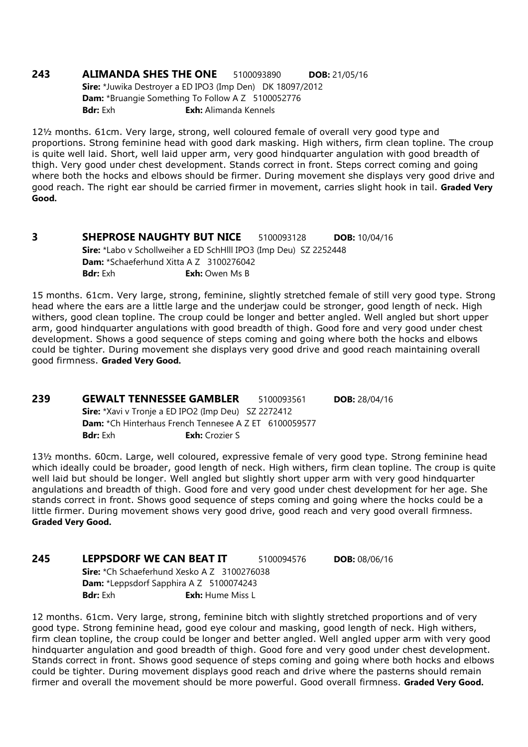### 243 ALIMANDA SHES THE ONE 5100093890 DOB: 21/05/16 Sire: \*Juwika Destroyer a ED IPO3 (Imp Den) DK 18097/2012 Dam: \*Bruangie Something To Follow A Z 5100052776

**Bdr:** Exh: Alimanda Kennels

12½ months. 61cm. Very large, strong, well coloured female of overall very good type and proportions. Strong feminine head with good dark masking. High withers, firm clean topline. The croup is quite well laid. Short, well laid upper arm, very good hindquarter angulation with good breadth of thigh. Very good under chest development. Stands correct in front. Steps correct coming and going where both the hocks and elbows should be firmer. During movement she displays very good drive and good reach. The right ear should be carried firmer in movement, carries slight hook in tail. Graded Very Good.

**3 SHEPROSE NAUGHTY BUT NICE** 5100093128 **DOB:** 10/04/16 Sire: \*Labo v Schollweiher a ED SchHlll IPO3 (Imp Deu) SZ 2252448 Dam: \*Schaeferhund Xitta A Z 3100276042 **Bdr:** Exh **Exh:** Owen Ms B

15 months. 61cm. Very large, strong, feminine, slightly stretched female of still very good type. Strong head where the ears are a little large and the underjaw could be stronger, good length of neck. High withers, good clean topline. The croup could be longer and better angled. Well angled but short upper arm, good hindquarter angulations with good breadth of thigh. Good fore and very good under chest development. Shows a good sequence of steps coming and going where both the hocks and elbows could be tighter. During movement she displays very good drive and good reach maintaining overall good firmness. Graded Very Good.

239 GEWALT TENNESSEE GAMBLER 5100093561 DOB: 28/04/16 Sire: \*Xavi v Tronje a ED IPO2 (Imp Deu) SZ 2272412 Dam: \*Ch Hinterhaus French Tennesee A Z ET 6100059577 Bdr: Exh Exh: Crozier S

13½ months. 60cm. Large, well coloured, expressive female of very good type. Strong feminine head which ideally could be broader, good length of neck. High withers, firm clean topline. The croup is quite well laid but should be longer. Well angled but slightly short upper arm with very good hindquarter angulations and breadth of thigh. Good fore and very good under chest development for her age. She stands correct in front. Shows good sequence of steps coming and going where the hocks could be a little firmer. During movement shows very good drive, good reach and very good overall firmness. Graded Very Good.

**245 LEPPSDORF WE CAN BEAT IT** 5100094576 **DOB:** 08/06/16 Sire: \*Ch Schaeferhund Xesko A Z 3100276038 Dam: \*Leppsdorf Sapphira A Z 5100074243 **Bdr:** Exh **Exh:** Hume Miss L

12 months. 61cm. Very large, strong, feminine bitch with slightly stretched proportions and of very good type. Strong feminine head, good eye colour and masking, good length of neck. High withers, firm clean topline, the croup could be longer and better angled. Well angled upper arm with very good hindquarter angulation and good breadth of thigh. Good fore and very good under chest development. Stands correct in front. Shows good sequence of steps coming and going where both hocks and elbows could be tighter. During movement displays good reach and drive where the pasterns should remain firmer and overall the movement should be more powerful. Good overall firmness. Graded Very Good.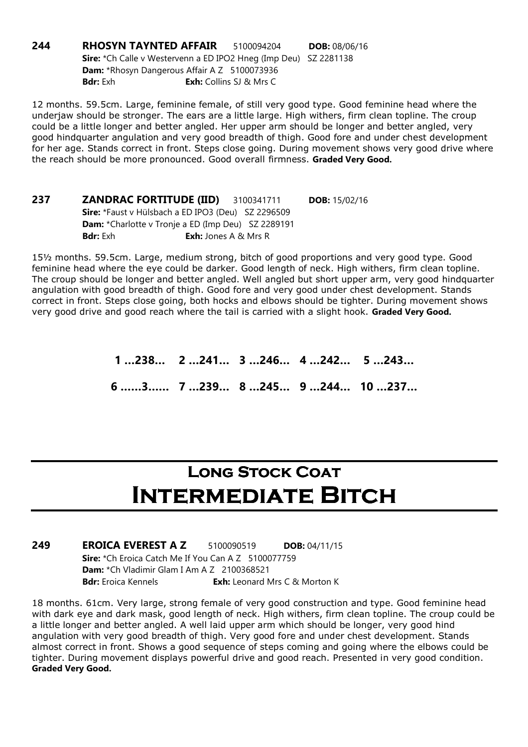244 RHOSYN TAYNTED AFFAIR 5100094204 DOB: 08/06/16 Sire: \*Ch Calle v Westervenn a ED IPO2 Hneg (Imp Deu) SZ 2281138 Dam: \*Rhosyn Dangerous Affair A Z 5100073936 **Bdr:** Exh: Collins SJ & Mrs C

12 months. 59.5cm. Large, feminine female, of still very good type. Good feminine head where the underjaw should be stronger. The ears are a little large. High withers, firm clean topline. The croup could be a little longer and better angled. Her upper arm should be longer and better angled, very good hindquarter angulation and very good breadth of thigh. Good fore and under chest development for her age. Stands correct in front. Steps close going. During movement shows very good drive where the reach should be more pronounced. Good overall firmness. Graded Very Good.

**237 ZANDRAC FORTITUDE (IID)** 3100341711 DOB: 15/02/16 Sire: \*Faust v Hülsbach a ED IPO3 (Deu) SZ 2296509 Dam: \*Charlotte v Tronje a ED (Imp Deu) SZ 2289191 **Bdr:** Exh **Exh:** Jones A & Mrs R

15½ months. 59.5cm. Large, medium strong, bitch of good proportions and very good type. Good feminine head where the eye could be darker. Good length of neck. High withers, firm clean topline. The croup should be longer and better angled. Well angled but short upper arm, very good hindquarter angulation with good breadth of thigh. Good fore and very good under chest development. Stands correct in front. Steps close going, both hocks and elbows should be tighter. During movement shows very good drive and good reach where the tail is carried with a slight hook. Graded Very Good.

> 1 …238… 2 …241… 3 …246… 4 …242… 5 …243… 6 ……3…… 7 …239… 8 …245… 9 …244… 10 …237…

## LONG STOCK COAT INTERMEDIATE BITCH

249 EROICA EVEREST A Z 5100090519 DOB: 04/11/15 Sire: \*Ch Eroica Catch Me If You Can A Z 5100077759 Dam: \*Ch Vladimir Glam I Am A Z 2100368521 **Bdr:** Eroica Kennels **Exh:** Leonard Mrs C & Morton K

18 months. 61cm. Very large, strong female of very good construction and type. Good feminine head with dark eye and dark mask, good length of neck. High withers, firm clean topline. The croup could be a little longer and better angled. A well laid upper arm which should be longer, very good hind angulation with very good breadth of thigh. Very good fore and under chest development. Stands almost correct in front. Shows a good sequence of steps coming and going where the elbows could be tighter. During movement displays powerful drive and good reach. Presented in very good condition. Graded Very Good.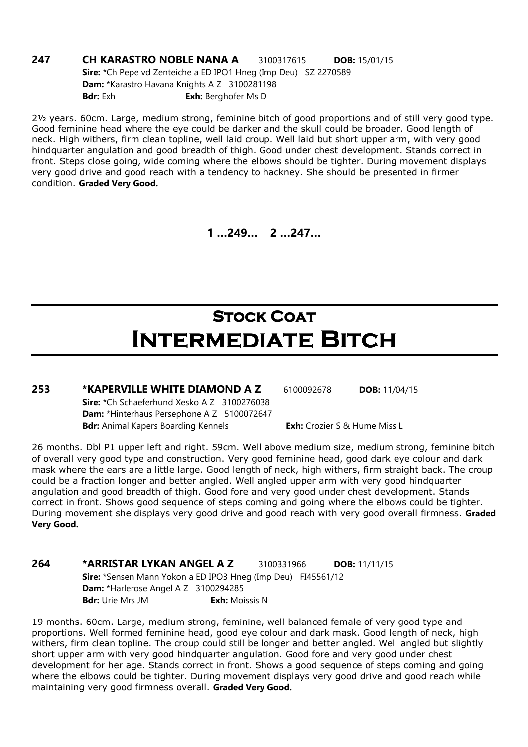### **247 CH KARASTRO NOBLE NANA A** 3100317615 **DOB:** 15/01/15 Sire: \*Ch Pepe vd Zenteiche a ED IPO1 Hneg (Imp Deu) SZ 2270589 Dam: \*Karastro Havana Knights A Z 3100281198 **Bdr:** Exh **Exh:** Berghofer Ms D

2½ years. 60cm. Large, medium strong, feminine bitch of good proportions and of still very good type. Good feminine head where the eye could be darker and the skull could be broader. Good length of neck. High withers, firm clean topline, well laid croup. Well laid but short upper arm, with very good hindquarter angulation and good breadth of thigh. Good under chest development. Stands correct in front. Steps close going, wide coming where the elbows should be tighter. During movement displays very good drive and good reach with a tendency to hackney. She should be presented in firmer condition. Graded Very Good.

1 …249… 2 …247…

# **STOCK COAT** Intermediate Bitch

253 \*KAPERVILLE WHITE DIAMOND A Z 6100092678 DOB: 11/04/15 Sire: \*Ch Schaeferhund Xesko A Z 3100276038 Dam: \*Hinterhaus Persephone A Z 5100072647 Bdr: Animal Kapers Boarding Kennels **Exh:** Crozier S & Hume Miss L

26 months. Dbl P1 upper left and right. 59cm. Well above medium size, medium strong, feminine bitch of overall very good type and construction. Very good feminine head, good dark eye colour and dark mask where the ears are a little large. Good length of neck, high withers, firm straight back. The croup could be a fraction longer and better angled. Well angled upper arm with very good hindquarter angulation and good breadth of thigh. Good fore and very good under chest development. Stands correct in front. Shows good sequence of steps coming and going where the elbows could be tighter. During movement she displays very good drive and good reach with very good overall firmness. Graded Very Good.

### 264 \*ARRISTAR LYKAN ANGEL A Z 3100331966 DOB: 11/11/15 Sire: \*Sensen Mann Yokon a ED IPO3 Hneg (Imp Deu) FI45561/12 Dam: \*Harlerose Angel A Z 3100294285 **Bdr:** Urie Mrs JM **Exh:** Moissis N

19 months. 60cm. Large, medium strong, feminine, well balanced female of very good type and proportions. Well formed feminine head, good eye colour and dark mask. Good length of neck, high withers, firm clean topline. The croup could still be longer and better angled. Well angled but slightly short upper arm with very good hindquarter angulation. Good fore and very good under chest development for her age. Stands correct in front. Shows a good sequence of steps coming and going where the elbows could be tighter. During movement displays very good drive and good reach while maintaining very good firmness overall. Graded Very Good.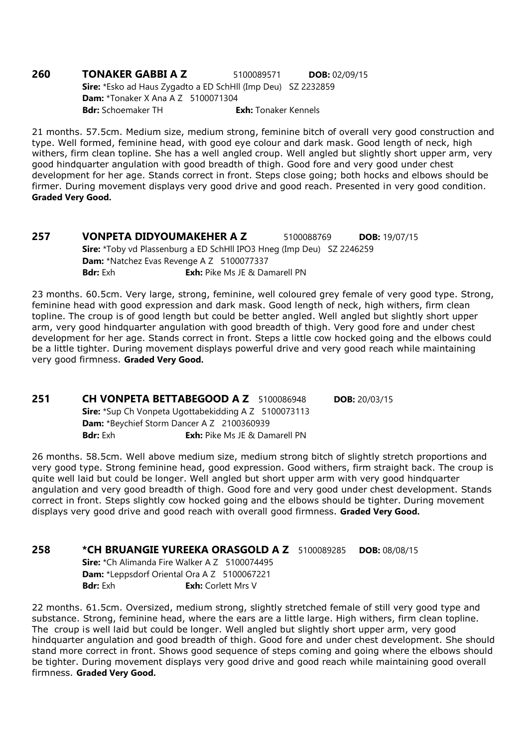### **260 TONAKER GABBI A Z** 5100089571 **DOB:** 02/09/15 Sire: \*Esko ad Haus Zygadto a ED SchHll (Imp Deu) SZ 2232859 **Dam:** \*Tonaker X Ana A Z 5100071304 **Bdr:** Schoemaker TH **Exh:** Tonaker Kennels

21 months. 57.5cm. Medium size, medium strong, feminine bitch of overall very good construction and type. Well formed, feminine head, with good eye colour and dark mask. Good length of neck, high withers, firm clean topline. She has a well angled croup. Well angled but slightly short upper arm, very good hindquarter angulation with good breadth of thigh. Good fore and very good under chest development for her age. Stands correct in front. Steps close going; both hocks and elbows should be firmer. During movement displays very good drive and good reach. Presented in very good condition. Graded Very Good.

**257 VONPETA DIDYOUMAKEHER A Z 5100088769 DOB: 19/07/15** Sire: \*Toby vd Plassenburg a ED SchHll IPO3 Hneg (Imp Deu) SZ 2246259 Dam: \*Natchez Evas Revenge A Z 5100077337 **Bdr:** Exh: Pike Ms JE & Damarell PN

23 months. 60.5cm. Very large, strong, feminine, well coloured grey female of very good type. Strong, feminine head with good expression and dark mask. Good length of neck, high withers, firm clean topline. The croup is of good length but could be better angled. Well angled but slightly short upper arm, very good hindquarter angulation with good breadth of thigh. Very good fore and under chest development for her age. Stands correct in front. Steps a little cow hocked going and the elbows could be a little tighter. During movement displays powerful drive and very good reach while maintaining very good firmness. Graded Very Good.

**251 CH VONPETA BETTABEGOOD A Z** 5100086948 **DOB:** 20/03/15 Sire: \*Sup Ch Vonpeta Ugottabekidding A Z 5100073113 Dam: \*Beychief Storm Dancer A Z 2100360939 **Bdr:** Exh: Pike Ms JE & Damarell PN

26 months. 58.5cm. Well above medium size, medium strong bitch of slightly stretch proportions and very good type. Strong feminine head, good expression. Good withers, firm straight back. The croup is quite well laid but could be longer. Well angled but short upper arm with very good hindquarter angulation and very good breadth of thigh. Good fore and very good under chest development. Stands correct in front. Steps slightly cow hocked going and the elbows should be tighter. During movement displays very good drive and good reach with overall good firmness. Graded Very Good.

258 \*CH BRUANGIE YUREEKA ORASGOLD A Z 5100089285 DOB: 08/08/15

Sire: \*Ch Alimanda Fire Walker A Z 5100074495 Dam: \*Leppsdorf Oriental Ora A Z 5100067221 **Bdr:** Exh: Corlett Mrs V

22 months. 61.5cm. Oversized, medium strong, slightly stretched female of still very good type and substance. Strong, feminine head, where the ears are a little large. High withers, firm clean topline. The croup is well laid but could be longer. Well angled but slightly short upper arm, very good hindquarter angulation and good breadth of thigh. Good fore and under chest development. She should stand more correct in front. Shows good sequence of steps coming and going where the elbows should be tighter. During movement displays very good drive and good reach while maintaining good overall firmness. Graded Very Good.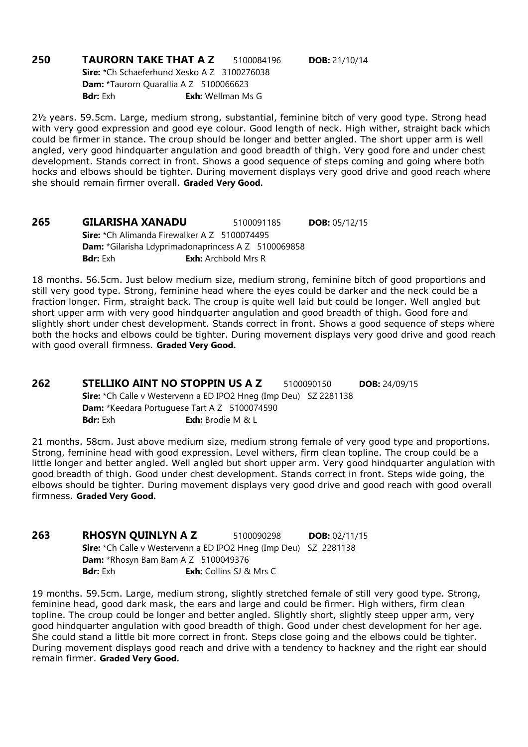**250 TAURORN TAKE THAT A Z** 5100084196 **DOB:** 21/10/14 Sire: \*Ch Schaeferhund Xesko A Z 3100276038 Dam: \*Taurorn Quarallia A Z 5100066623 **Bdr:** Exh **Exh:** Wellman Ms G

2½ years. 59.5cm. Large, medium strong, substantial, feminine bitch of very good type. Strong head with very good expression and good eye colour. Good length of neck. High wither, straight back which could be firmer in stance. The croup should be longer and better angled. The short upper arm is well angled, very good hindquarter angulation and good breadth of thigh. Very good fore and under chest development. Stands correct in front. Shows a good sequence of steps coming and going where both hocks and elbows should be tighter. During movement displays very good drive and good reach where she should remain firmer overall. Graded Very Good.

265 GILARISHA XANADU 5100091185 DOB: 05/12/15 Sire: \*Ch Alimanda Firewalker A Z 5100074495 Dam: \*Gilarisha Ldyprimadonaprincess A Z 5100069858 **Bdr:** Exh **Exh:** Archbold Mrs R

18 months. 56.5cm. Just below medium size, medium strong, feminine bitch of good proportions and still very good type. Strong, feminine head where the eyes could be darker and the neck could be a fraction longer. Firm, straight back. The croup is quite well laid but could be longer. Well angled but short upper arm with very good hindquarter angulation and good breadth of thigh. Good fore and slightly short under chest development. Stands correct in front. Shows a good sequence of steps where both the hocks and elbows could be tighter. During movement displays very good drive and good reach with good overall firmness. Graded Very Good.

262 STELLIKO AINT NO STOPPIN US A Z 5100090150 DOB: 24/09/15 Sire: \*Ch Calle v Westervenn a ED IPO2 Hneg (Imp Deu) SZ 2281138 Dam: \*Keedara Portuguese Tart A Z 5100074590 Bdr: Exh: Exh: Brodie M & L

21 months. 58cm. Just above medium size, medium strong female of very good type and proportions. Strong, feminine head with good expression. Level withers, firm clean topline. The croup could be a little longer and better angled. Well angled but short upper arm. Very good hindquarter angulation with good breadth of thigh. Good under chest development. Stands correct in front. Steps wide going, the elbows should be tighter. During movement displays very good drive and good reach with good overall firmness. Graded Very Good.

**263 RHOSYN QUINLYN A Z** 5100090298 **DOB:** 02/11/15 Sire: \*Ch Calle v Westervenn a ED IPO2 Hneg (Imp Deu) SZ 2281138 **Dam:** \*Rhosyn Bam Bam A Z 5100049376 **Bdr:** Exh: Collins SJ & Mrs C

19 months. 59.5cm. Large, medium strong, slightly stretched female of still very good type. Strong, feminine head, good dark mask, the ears and large and could be firmer. High withers, firm clean topline. The croup could be longer and better angled. Slightly short, slightly steep upper arm, very good hindquarter angulation with good breadth of thigh. Good under chest development for her age. She could stand a little bit more correct in front. Steps close going and the elbows could be tighter. During movement displays good reach and drive with a tendency to hackney and the right ear should remain firmer. Graded Very Good.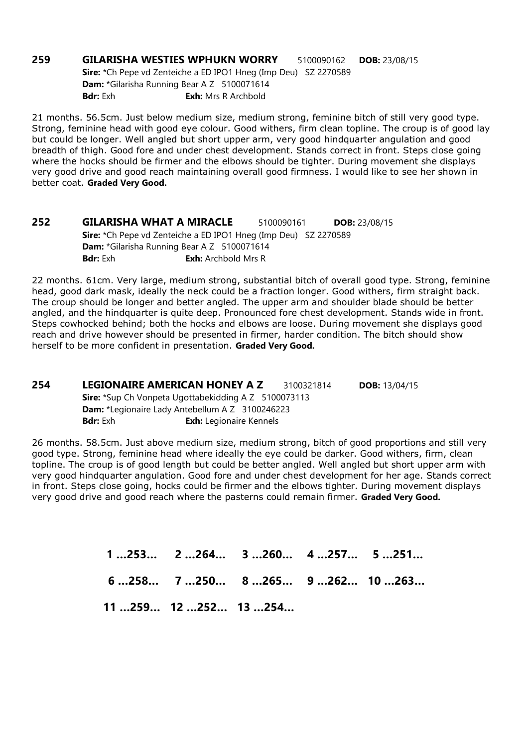259 GILARISHA WESTIES WPHUKN WORRY 5100090162 DOB: 23/08/15 Sire: \*Ch Pepe vd Zenteiche a ED IPO1 Hneg (Imp Deu) SZ 2270589 Dam: \*Gilarisha Running Bear A Z 5100071614 **Bdr:** Exh **Exh:** Mrs R Archbold

21 months. 56.5cm. Just below medium size, medium strong, feminine bitch of still very good type. Strong, feminine head with good eye colour. Good withers, firm clean topline. The croup is of good lay but could be longer. Well angled but short upper arm, very good hindquarter angulation and good breadth of thigh. Good fore and under chest development. Stands correct in front. Steps close going where the hocks should be firmer and the elbows should be tighter. During movement she displays very good drive and good reach maintaining overall good firmness. I would like to see her shown in better coat. Graded Very Good.

252 GILARISHA WHAT A MIRACLE 5100090161 DOB: 23/08/15 Sire: \*Ch Pepe vd Zenteiche a ED IPO1 Hneg (Imp Deu) SZ 2270589 Dam: \*Gilarisha Running Bear A Z 5100071614 **Bdr:** Exh: **Exh:** Archbold Mrs R

22 months. 61cm. Very large, medium strong, substantial bitch of overall good type. Strong, feminine head, good dark mask, ideally the neck could be a fraction longer. Good withers, firm straight back. The croup should be longer and better angled. The upper arm and shoulder blade should be better angled, and the hindquarter is quite deep. Pronounced fore chest development. Stands wide in front. Steps cowhocked behind; both the hocks and elbows are loose. During movement she displays good reach and drive however should be presented in firmer, harder condition. The bitch should show herself to be more confident in presentation. Graded Very Good.

254 LEGIONAIRE AMERICAN HONEY A Z 3100321814 DOB: 13/04/15 Sire: \*Sup Ch Vonpeta Ugottabekidding A Z 5100073113 Dam: \*Legionaire Lady Antebellum A Z 3100246223 Bdr: Exh Exh: Legionaire Kennels

26 months. 58.5cm. Just above medium size, medium strong, bitch of good proportions and still very good type. Strong, feminine head where ideally the eye could be darker. Good withers, firm, clean topline. The croup is of good length but could be better angled. Well angled but short upper arm with very good hindquarter angulation. Good fore and under chest development for her age. Stands correct in front. Steps close going, hocks could be firmer and the elbows tighter. During movement displays very good drive and good reach where the pasterns could remain firmer. Graded Very Good.

> 1 …253… 2 …264… 3 …260… 4 …257… 5 …251… 6 …258… 7 …250… 8 …265… 9 …262… 10 …263… 11 …259… 12 …252… 13 …254…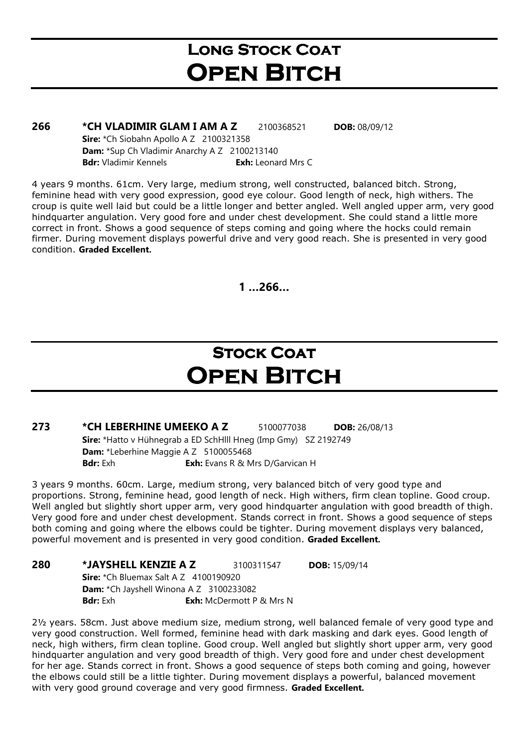## LONG STOCK COAT **OPEN BITCH**

### **266 \*CH VLADIMIR GLAM I AM A Z** 2100368521 **DOB:** 08/09/12

Sire: \*Ch Siobahn Apollo A Z 2100321358 Dam: \*Sup Ch Vladimir Anarchy A Z 2100213140 Bdr: Vladimir Kennels **Exh:** Leonard Mrs C

4 years 9 months. 61cm. Very large, medium strong, well constructed, balanced bitch. Strong, feminine head with very good expression, good eye colour. Good length of neck, high withers. The croup is quite well laid but could be a little longer and better angled. Well angled upper arm, very good hindquarter angulation. Very good fore and under chest development. She could stand a little more correct in front. Shows a good sequence of steps coming and going where the hocks could remain firmer. During movement displays powerful drive and very good reach. She is presented in very good condition. Graded Excellent.

 $1...266...$ 

## **STOCK COAT OPEN BITCH**

**273 \*CH LEBERHINE UMEEKO A Z** 5100077038 **DOB:** 26/08/13 Sire: \*Hatto v Hühnegrab a ED SchHlll Hneg (Imp Gmy) SZ 2192749 Dam: \*Leberhine Maggie A Z 5100055468 **Bdr:** Exh **Exh:** Evans R & Mrs D/Garvican H

3 years 9 months. 60cm. Large, medium strong, very balanced bitch of very good type and proportions. Strong, feminine head, good length of neck. High withers, firm clean topline. Good croup. Well angled but slightly short upper arm, very good hindquarter angulation with good breadth of thigh. Very good fore and under chest development. Stands correct in front. Shows a good sequence of steps both coming and going where the elbows could be tighter. During movement displays very balanced, powerful movement and is presented in very good condition. Graded Excellent.

### 280 \*JAYSHELL KENZIE A Z 3100311547 DOB: 15/09/14

**Sire:** \*Ch Bluemax Salt A Z 4100190920 Dam: \*Ch Jayshell Winona A Z 3100233082 **Bdr:** Exh **Exh:** McDermott P & Mrs N

2½ years. 58cm. Just above medium size, medium strong, well balanced female of very good type and very good construction. Well formed, feminine head with dark masking and dark eyes. Good length of neck, high withers, firm clean topline. Good croup. Well angled but slightly short upper arm, very good hindquarter angulation and very good breadth of thigh. Very good fore and under chest development for her age. Stands correct in front. Shows a good sequence of steps both coming and going, however the elbows could still be a little tighter. During movement displays a powerful, balanced movement with very good ground coverage and very good firmness. Graded Excellent.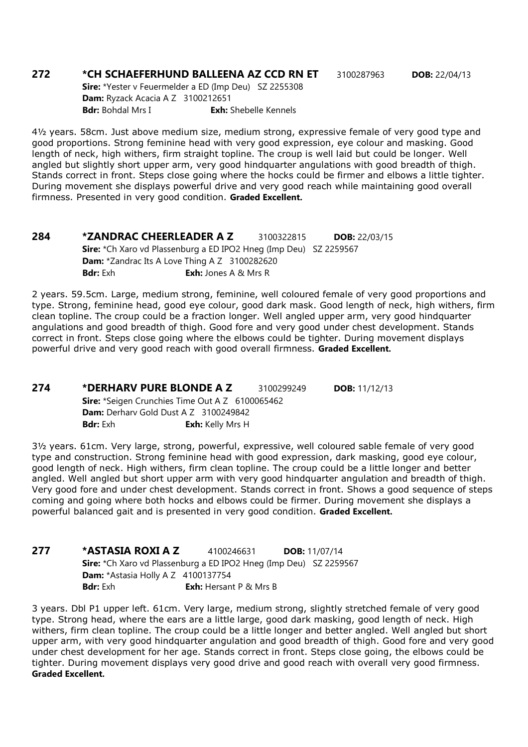### 272 \*CH SCHAEFERHUND BALLEENA AZ CCD RN ET 3100287963 DOB: 22/04/13

Sire: \*Yester v Feuermelder a ED (Imp Deu) SZ 2255308 Dam: Ryzack Acacia A Z 3100212651 **Bdr:** Bohdal Mrs I **Exh:** Shebelle Kennels

4½ years. 58cm. Just above medium size, medium strong, expressive female of very good type and good proportions. Strong feminine head with very good expression, eye colour and masking. Good length of neck, high withers, firm straight topline. The croup is well laid but could be longer. Well angled but slightly short upper arm, very good hindquarter angulations with good breadth of thigh. Stands correct in front. Steps close going where the hocks could be firmer and elbows a little tighter. During movement she displays powerful drive and very good reach while maintaining good overall firmness. Presented in very good condition. Graded Excellent.

**284 \*ZANDRAC CHEERLEADER A Z** 3100322815 **DOB:** 22/03/15 Sire: \*Ch Xaro vd Plassenburg a ED IPO2 Hneg (Imp Deu) SZ 2259567 Dam: \*Zandrac Its A Love Thing A Z 3100282620 **Bdr:** Exh **Exh:** Jones A & Mrs R

2 years. 59.5cm. Large, medium strong, feminine, well coloured female of very good proportions and type. Strong, feminine head, good eye colour, good dark mask. Good length of neck, high withers, firm clean topline. The croup could be a fraction longer. Well angled upper arm, very good hindquarter angulations and good breadth of thigh. Good fore and very good under chest development. Stands correct in front. Steps close going where the elbows could be tighter. During movement displays powerful drive and very good reach with good overall firmness. Graded Excellent.

### 274 \*DERHARV PURE BLONDE A Z 3100299249 DOB: 11/12/13 Sire: \*Seigen Crunchies Time Out A Z 6100065462 Dam: Derharv Gold Dust A Z 3100249842 **Bdr:** Exh: Kelly Mrs H

3½ years. 61cm. Very large, strong, powerful, expressive, well coloured sable female of very good type and construction. Strong feminine head with good expression, dark masking, good eye colour, good length of neck. High withers, firm clean topline. The croup could be a little longer and better angled. Well angled but short upper arm with very good hindquarter angulation and breadth of thigh. Very good fore and under chest development. Stands correct in front. Shows a good sequence of steps coming and going where both hocks and elbows could be firmer. During movement she displays a powerful balanced gait and is presented in very good condition. Graded Excellent.

277 \* ASTASIA ROXI A Z 4100246631 DOB: 11/07/14 Sire: \*Ch Xaro vd Plassenburg a ED IPO2 Hneg (Imp Deu) SZ 2259567 **Dam:** \*Astasia Holly A Z 4100137754 **Bdr:** Exh **Exh:** Hersant P & Mrs B

3 years. Dbl P1 upper left. 61cm. Very large, medium strong, slightly stretched female of very good type. Strong head, where the ears are a little large, good dark masking, good length of neck. High withers, firm clean topline. The croup could be a little longer and better angled. Well angled but short upper arm, with very good hindquarter angulation and good breadth of thigh. Good fore and very good under chest development for her age. Stands correct in front. Steps close going, the elbows could be tighter. During movement displays very good drive and good reach with overall very good firmness. Graded Excellent.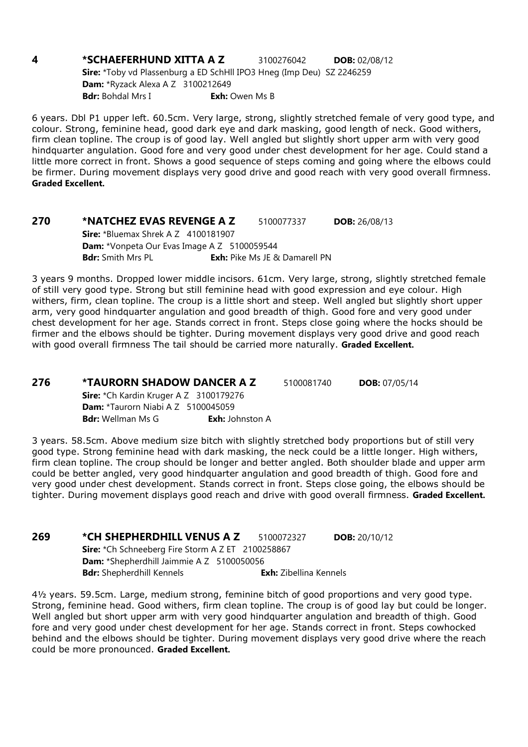**4 \*SCHAEFERHUND XITTA A Z** 3100276042 **DOB:** 02/08/12 Sire: \*Toby vd Plassenburg a ED SchHll IPO3 Hneg (Imp Deu) SZ 2246259 Dam: \*Ryzack Alexa A Z 3100212649 Bdr: Bohdal Mrs I Exh: Owen Ms B

6 years. Dbl P1 upper left. 60.5cm. Very large, strong, slightly stretched female of very good type, and colour. Strong, feminine head, good dark eye and dark masking, good length of neck. Good withers, firm clean topline. The croup is of good lay. Well angled but slightly short upper arm with very good hindquarter angulation. Good fore and very good under chest development for her age. Could stand a little more correct in front. Shows a good sequence of steps coming and going where the elbows could be firmer. During movement displays very good drive and good reach with very good overall firmness. Graded Excellent.

270 \*NATCHEZ EVAS REVENGE A Z 5100077337 DOB: 26/08/13 **Sire:** \*Bluemax Shrek A Z 4100181907 Dam: \*Vonpeta Our Evas Image A Z 5100059544 **Bdr:** Smith Mrs PL **Exh:** Pike Ms JE & Damarell PN

3 years 9 months. Dropped lower middle incisors. 61cm. Very large, strong, slightly stretched female of still very good type. Strong but still feminine head with good expression and eye colour. High withers, firm, clean topline. The croup is a little short and steep. Well angled but slightly short upper arm, very good hindquarter angulation and good breadth of thigh. Good fore and very good under chest development for her age. Stands correct in front. Steps close going where the hocks should be firmer and the elbows should be tighter. During movement displays very good drive and good reach with good overall firmness The tail should be carried more naturally. Graded Excellent.

**276 \*TAURORN SHADOW DANCER A Z** 5100081740 **DOB:** 07/05/14 Sire: \*Ch Kardin Kruger A Z 3100179276 Dam: \*Taurorn Niabi A Z 5100045059

**Bdr:** Wellman Ms G **Exh:** Johnston A

3 years. 58.5cm. Above medium size bitch with slightly stretched body proportions but of still very good type. Strong feminine head with dark masking, the neck could be a little longer. High withers, firm clean topline. The croup should be longer and better angled. Both shoulder blade and upper arm could be better angled, very good hindquarter angulation and good breadth of thigh. Good fore and very good under chest development. Stands correct in front. Steps close going, the elbows should be tighter. During movement displays good reach and drive with good overall firmness. Graded Excellent.

269 \*CH SHEPHERDHILL VENUS A Z 5100072327 DOB: 20/10/12 Sire: \*Ch Schneeberg Fire Storm A Z ET 2100258867 Dam: \*Shepherdhill Jaimmie A Z 5100050056 Bdr: Shepherdhill Kennels **Exh:** Zibellina Kennels

4½ years. 59.5cm. Large, medium strong, feminine bitch of good proportions and very good type. Strong, feminine head. Good withers, firm clean topline. The croup is of good lay but could be longer. Well angled but short upper arm with very good hindquarter angulation and breadth of thigh. Good fore and very good under chest development for her age. Stands correct in front. Steps cowhocked behind and the elbows should be tighter. During movement displays very good drive where the reach could be more pronounced. Graded Excellent.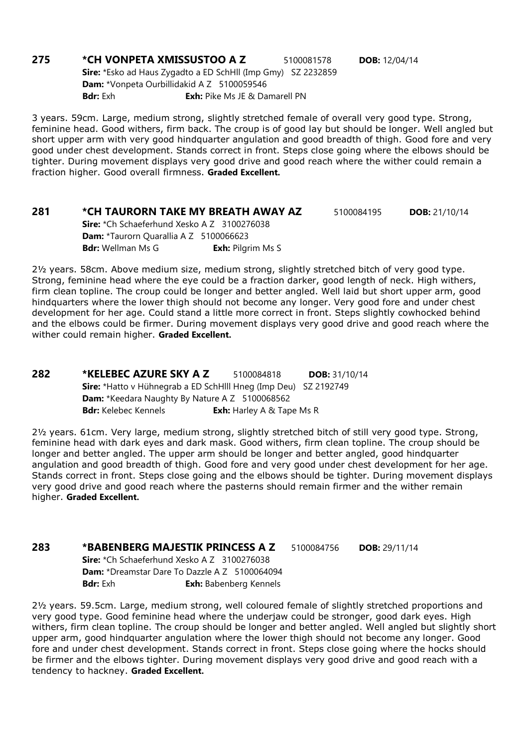**275 \*CH VONPETA XMISSUSTOO A Z** 5100081578 **DOB:** 12/04/14 Sire: \*Esko ad Haus Zygadto a ED SchHll (Imp Gmy) SZ 2232859 Dam: \*Vonpeta Ourbillidakid A Z 5100059546 **Bdr:** Exh **Exh:** Pike Ms JE & Damarell PN

3 years. 59cm. Large, medium strong, slightly stretched female of overall very good type. Strong, feminine head. Good withers, firm back. The croup is of good lay but should be longer. Well angled but short upper arm with very good hindquarter angulation and good breadth of thigh. Good fore and very good under chest development. Stands correct in front. Steps close going where the elbows should be tighter. During movement displays very good drive and good reach where the wither could remain a fraction higher. Good overall firmness. Graded Excellent.

### **281 \*CH TAURORN TAKE MY BREATH AWAY AZ** 5100084195 **DOB:** 21/10/14

Sire: \*Ch Schaeferhund Xesko A Z 3100276038 Dam: \*Taurorn Quarallia A Z 5100066623 **Bdr:** Wellman Ms G **Exh:** Pilgrim Ms S

2½ years. 58cm. Above medium size, medium strong, slightly stretched bitch of very good type. Strong, feminine head where the eye could be a fraction darker, good length of neck. High withers, firm clean topline. The croup could be longer and better angled. Well laid but short upper arm, good hindquarters where the lower thigh should not become any longer. Very good fore and under chest development for her age. Could stand a little more correct in front. Steps slightly cowhocked behind and the elbows could be firmer. During movement displays very good drive and good reach where the wither could remain higher. Graded Excellent.

282 \*KELEBEC AZURE SKY A Z 5100084818 DOB: 31/10/14 Sire: \*Hatto v Hühnegrab a ED SchHlll Hneg (Imp Deu) SZ 2192749 Dam: \*Keedara Naughty By Nature A Z 5100068562 **Bdr:** Kelebec Kennels **Exh:** Harley A & Tape Ms R

2½ years. 61cm. Very large, medium strong, slightly stretched bitch of still very good type. Strong, feminine head with dark eyes and dark mask. Good withers, firm clean topline. The croup should be longer and better angled. The upper arm should be longer and better angled, good hindquarter angulation and good breadth of thigh. Good fore and very good under chest development for her age. Stands correct in front. Steps close going and the elbows should be tighter. During movement displays very good drive and good reach where the pasterns should remain firmer and the wither remain higher. Graded Excellent.

### 283 \*BABENBERG MAJESTIK PRINCESS A Z 5100084756 DOB: 29/11/14

Sire: \*Ch Schaeferhund Xesko A Z 3100276038 Dam: \*Dreamstar Dare To Dazzle A Z 5100064094 Bdr: Exh **Exh:** Babenberg Kennels

2½ years. 59.5cm. Large, medium strong, well coloured female of slightly stretched proportions and very good type. Good feminine head where the underjaw could be stronger, good dark eyes. High withers, firm clean topline. The croup should be longer and better angled. Well angled but slightly short upper arm, good hindquarter angulation where the lower thigh should not become any longer. Good fore and under chest development. Stands correct in front. Steps close going where the hocks should be firmer and the elbows tighter. During movement displays very good drive and good reach with a tendency to hackney. Graded Excellent.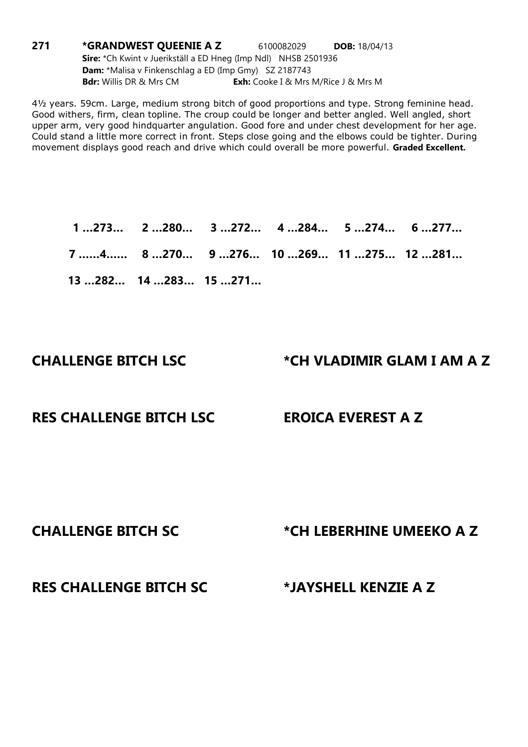**271 \*GRANDWEST QUEENIE A Z** 6100082029 **DOB:** 18/04/13 Sire: \*Ch Kwint v Juerikställ a ED Hneg (Imp Ndl) NHSB 2501936 Dam: \*Malisa v Finkenschlag a ED (Imp Gmy) SZ 2187743 **Bdr:** Willis DR & Mrs CM **Exh:** Cooke I & Mrs M/Rice J & Mrs M

4½ years. 59cm. Large, medium strong bitch of good proportions and type. Strong feminine head. Good withers, firm, clean topline. The croup could be longer and better angled. Well angled, short upper arm, very good hindquarter angulation. Good fore and under chest development for her age. Could stand a little more correct in front. Steps close going and the elbows could be tighter. During movement displays good reach and drive which could overall be more powerful. Graded Excellent.

 1 …273… 2 …280… 3 …272… 4 …284… 5 …274… 6 …277… 7 ……4…… 8 …270… 9 …276… 10 …269… 11 …275… 12 …281… 13 …282… 14 …283… 15 …271…

### CHALLENGE BITCH LSC \*CH VLADIMIR GLAM I AM A Z

### RES CHALLENGE BITCH LSC EROICA EVEREST A Z

### CHALLENGE BITCH SC \*CH LEBERHINE UMEEKO A Z

### RES CHALLENGE BITCH SC \*JAYSHELL KENZIE A Z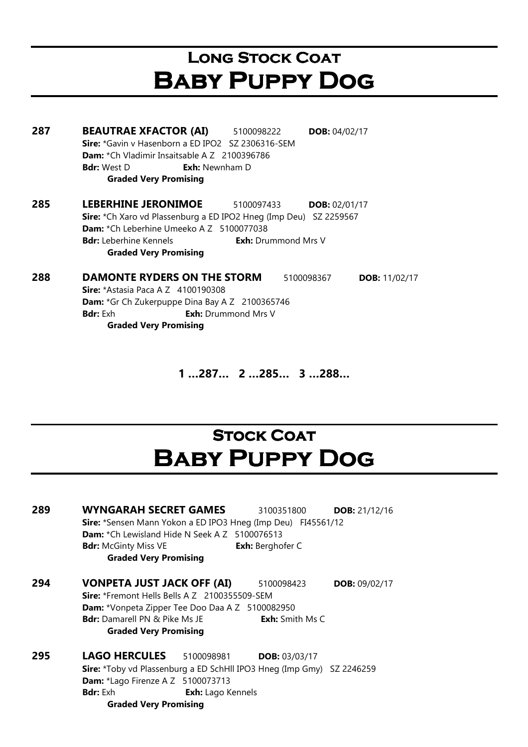## LONG STOCK COAT Baby Puppy Dog

**287 BEAUTRAE XFACTOR (AI)** 5100098222 **DOB:** 04/02/17 Sire: \*Gavin v Hasenborn a ED IPO2 SZ 2306316-SEM Dam: \*Ch Vladimir Insaitsable A Z 2100396786 **Bdr:** West D **Exh:** Newnham D Graded Very Promising **285 LEBERHINE JERONIMOE** 5100097433 DOB: 02/01/17 Sire: \*Ch Xaro vd Plassenburg a ED IPO2 Hneg (Imp Deu) SZ 2259567 Dam: \*Ch Leberhine Umeeko A Z 5100077038 **Bdr:** Leberhine Kennels **Exh:** Drummond Mrs V Graded Very Promising

288 DAMONTE RYDERS ON THE STORM 5100098367 DOB: 11/02/17 **Sire:** \*Astasia Paca A Z 4100190308 Dam: \*Gr Ch Zukerpuppe Dina Bay A Z 2100365746 **Bdr:** Exh **Exh:** Drummond Mrs V Graded Very Promising

1 …287… 2 …285… 3 …288…

## **STOCK COAT** Baby Puppy Dog

| 289 | <b>WYNGARAH SECRET GAMES</b><br>DOB: $21/12/16$<br>3100351800<br>Sire: *Sensen Mann Yokon a ED IPO3 Hneg (Imp Deu) FI45561/12<br><b>Dam:</b> *Ch Lewisland Hide N Seek A Z 5100076513<br><b>Exh:</b> Berghofer C<br><b>Bdr:</b> McGinty Miss VE<br><b>Graded Very Promising</b> |  |
|-----|---------------------------------------------------------------------------------------------------------------------------------------------------------------------------------------------------------------------------------------------------------------------------------|--|
| 294 | <b>VONPETA JUST JACK OFF (AI)</b><br>5100098423<br>DOB: $09/02/17$<br><b>Sire:</b> *Fremont Hells Bells A Z 2100355509-SEM<br><b>Dam:</b> *Vonpeta Zipper Tee Doo Daa A Z 5100082950<br><b>Bdr:</b> Damarell PN & Pike Ms JE<br>Exh: Smith Ms C<br><b>Graded Very Promising</b> |  |
| 295 | <b>LAGO HERCULES</b><br>5100098981<br><b>DOB: 03/03/17</b><br>Sire: *Toby vd Plassenburg a ED SchHll IPO3 Hneg (Imp Gmy) SZ 2246259<br>Dam: *Lago Firenze A Z 5100073713<br><b>Bdr:</b> Exh<br>Exh: Lago Kennels<br><b>Graded Very Promising</b>                                |  |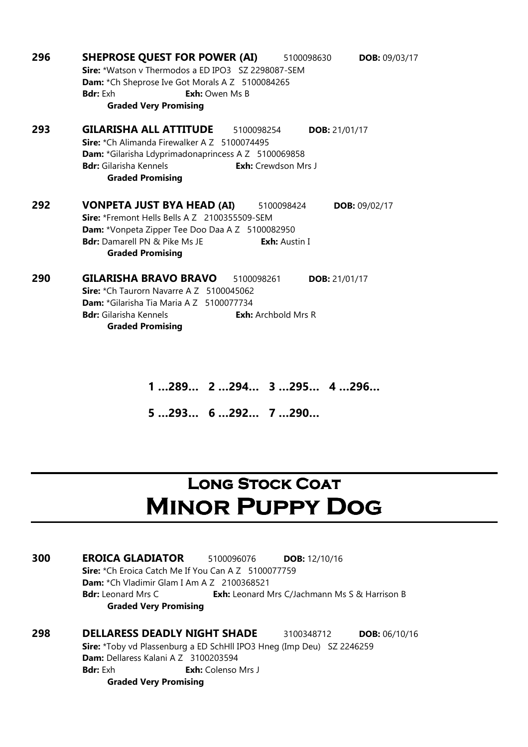| 296 | <b>SHEPROSE QUEST FOR POWER (AI)</b><br><b>DOB: 09/03/17</b><br>5100098630 |
|-----|----------------------------------------------------------------------------|
|     | Sire: *Watson v Thermodos a ED IPO3 SZ 2298087-SEM                         |
|     | Dam: *Ch Sheprose Ive Got Morals A Z 5100084265                            |
|     | <b>Bdr:</b> Exh<br><b>Exh:</b> Owen Ms B                                   |
|     | <b>Graded Very Promising</b>                                               |
| 293 | <b>GILARISHA ALL ATTITUDE</b><br>5100098254<br><b>DOB:</b> 21/01/17        |
|     | <b>Sire:</b> *Ch Alimanda Firewalker A Z 5100074495                        |
|     | Dam: *Gilarisha Ldyprimadonaprincess A Z 5100069858                        |
|     | <b>Bdr:</b> Gilarisha Kennels<br><b>Exh:</b> Crewdson Mrs J                |
|     | <b>Graded Promising</b>                                                    |
| 292 | VONPETA JUST BYA HEAD (AI)<br>5100098424<br>DOB: $09/02/17$                |
|     | Sire: *Fremont Hells Bells A Z 2100355509-SEM                              |
|     | <b>Dam:</b> *Vonpeta Zipper Tee Doo Daa A Z 5100082950                     |
|     | <b>Bdr:</b> Damarell PN & Pike Ms JF<br><b>Exh:</b> Austin I               |
|     | <b>Graded Promising</b>                                                    |
| 290 | <b>GILARISHA BRAVO BRAVO</b><br>5100098261<br><b>DOB:</b> 21/01/17         |
|     | Sire: *Ch Taurorn Navarre A Z 5100045062                                   |
|     | Dam: *Gilarisha Tia Maria A Z 5100077734                                   |
|     | <b>Bdr:</b> Gilarisha Kennels<br><b>Exh:</b> Archbold Mrs R                |
|     | <b>Graded Promising</b>                                                    |

1 …289… 2 …294… 3 …295… 4 …296…

5 …293… 6 …292… 7 …290…

## **LONG STOCK COAT** Minor Puppy Dog

300 EROICA GLADIATOR 5100096076 DOB: 12/10/16 Sire: \*Ch Eroica Catch Me If You Can A Z 5100077759 Dam: \*Ch Vladimir Glam I Am A Z 2100368521 Bdr: Leonard Mrs C **Exh:** Leonard Mrs C/Jachmann Ms S & Harrison B Graded Very Promising

298 DELLARESS DEADLY NIGHT SHADE 3100348712 DOB: 06/10/16 Sire: \*Toby vd Plassenburg a ED SchHll IPO3 Hneg (Imp Deu) SZ 2246259 Dam: Dellaress Kalani A Z 3100203594 Bdr: Exh **Exh:** Colenso Mrs J Graded Very Promising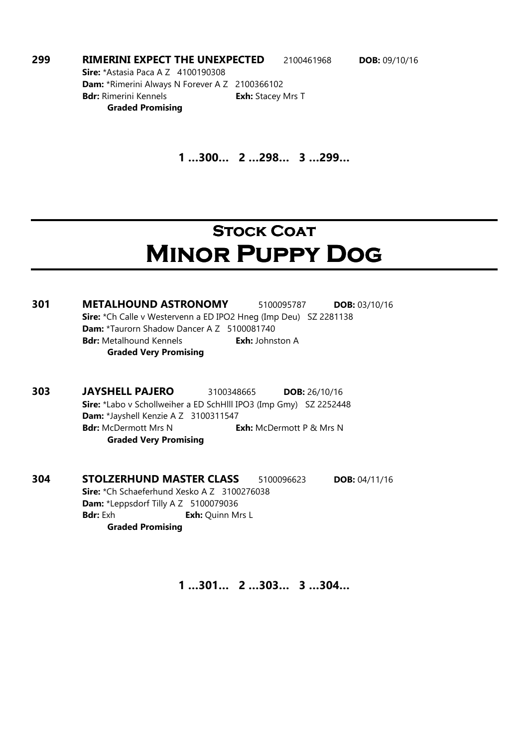**299 RIMERINI EXPECT THE UNEXPECTED** 2100461968 DOB: 09/10/16 **Sire:** \*Astasia Paca A Z 4100190308 Dam: \*Rimerini Always N Forever A Z 2100366102

Bdr: Rimerini Kennels **Exh:** Stacey Mrs T Graded Promising

1 …300… 2 …298… 3 …299…

## **STOCK COAT** Minor Puppy Dog

301 METALHOUND ASTRONOMY 5100095787 DOB: 03/10/16 Sire: \*Ch Calle v Westervenn a ED IPO2 Hneg (Imp Deu) SZ 2281138 Dam: \*Taurorn Shadow Dancer A Z 5100081740 Bdr: Metalhound Kennels **Exh:** Johnston A Graded Very Promising

303 JAYSHELL PAJERO 3100348665 DOB: 26/10/16 Sire: \*Labo v Schollweiher a ED SchHlll IPO3 (Imp Gmy) SZ 2252448 Dam: \*Jayshell Kenzie A Z 3100311547 Bdr: McDermott Mrs N Exh: McDermott P & Mrs N Graded Very Promising

304 STOLZERHUND MASTER CLASS 5100096623 DOB: 04/11/16 Sire: \*Ch Schaeferhund Xesko A Z 3100276038 Dam: \*Leppsdorf Tilly A Z 5100079036 Bdr: Exh Exh: Quinn Mrs L Graded Promising

1 …301… 2 …303… 3 …304…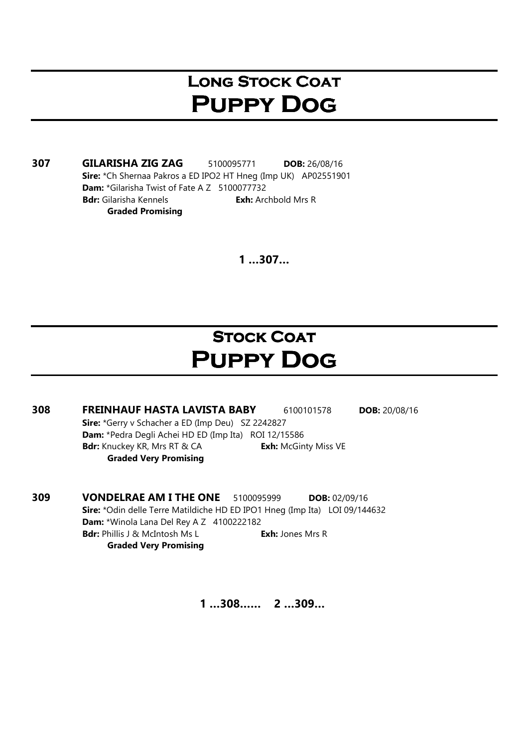## **LONG STOCK COAT** Puppy Dog

307 GILARISHA ZIG ZAG 5100095771 DOB: 26/08/16 Sire: \*Ch Shernaa Pakros a ED IPO2 HT Hneg (Imp UK) AP02551901 Dam: \*Gilarisha Twist of Fate A Z 5100077732 Bdr: Gilarisha Kennels **Exh:** Archbold Mrs R Graded Promising

 $1...307...$ 

## **STOCK COAT** Puppy Dog

- 308 FREINHAUF HASTA LAVISTA BABY 6100101578 DOB: 20/08/16 Sire: \*Gerry v Schacher a ED (Imp Deu) SZ 2242827 Dam: \*Pedra Degli Achei HD ED (Imp Ita) ROI 12/15586 Bdr: Knuckey KR, Mrs RT & CA Exh: McGinty Miss VE Graded Very Promising
- **309 VONDELRAE AM I THE ONE** 5100095999 DOB: 02/09/16 Sire: \*Odin delle Terre Matildiche HD ED IPO1 Hneg (Imp Ita) LOI 09/144632 Dam: \*Winola Lana Del Rey A Z 4100222182 Bdr: Phillis J & McIntosh Ms L Exh: Jones Mrs R Graded Very Promising

1 …308…… 2 …309…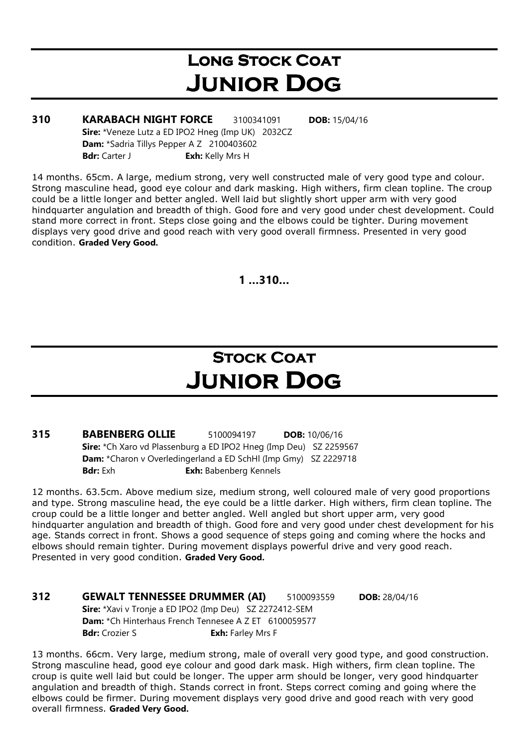## LONG STOCK COAT Junior Dog

**310 KARABACH NIGHT FORCE** 3100341091 **DOB:** 15/04/16 Sire: \*Veneze Lutz a ED IPO2 Hneg (Imp UK) 2032CZ Dam: \*Sadria Tillys Pepper A Z 2100403602 Bdr: Carter J Exh: Kelly Mrs H

14 months. 65cm. A large, medium strong, very well constructed male of very good type and colour. Strong masculine head, good eye colour and dark masking. High withers, firm clean topline. The croup could be a little longer and better angled. Well laid but slightly short upper arm with very good hindquarter angulation and breadth of thigh. Good fore and very good under chest development. Could stand more correct in front. Steps close going and the elbows could be tighter. During movement displays very good drive and good reach with very good overall firmness. Presented in very good condition. Graded Very Good.

1 …310…

## **STOCK COAT** Junior Dog

**315 BABENBERG OLLIE** 5100094197 DOB: 10/06/16 Sire: \*Ch Xaro vd Plassenburg a ED IPO2 Hneg (Imp Deu) SZ 2259567 Dam: \*Charon v Overledingerland a ED SchHl (Imp Gmy) SZ 2229718 Bdr: Exh **Exh:** Babenberg Kennels

12 months. 63.5cm. Above medium size, medium strong, well coloured male of very good proportions and type. Strong masculine head, the eye could be a little darker. High withers, firm clean topline. The croup could be a little longer and better angled. Well angled but short upper arm, very good hindquarter angulation and breadth of thigh. Good fore and very good under chest development for his age. Stands correct in front. Shows a good sequence of steps going and coming where the hocks and elbows should remain tighter. During movement displays powerful drive and very good reach. Presented in very good condition. Graded Very Good.

312 GEWALT TENNESSEE DRUMMER (AI) 5100093559 DOB: 28/04/16 Sire: \*Xavi v Tronje a ED IPO2 (Imp Deu) SZ 2272412-SEM Dam: \*Ch Hinterhaus French Tennesee A Z ET 6100059577 **Bdr:** Crozier S **Exh:** Farley Mrs F

13 months. 66cm. Very large, medium strong, male of overall very good type, and good construction. Strong masculine head, good eye colour and good dark mask. High withers, firm clean topline. The croup is quite well laid but could be longer. The upper arm should be longer, very good hindquarter angulation and breadth of thigh. Stands correct in front. Steps correct coming and going where the elbows could be firmer. During movement displays very good drive and good reach with very good overall firmness. Graded Very Good.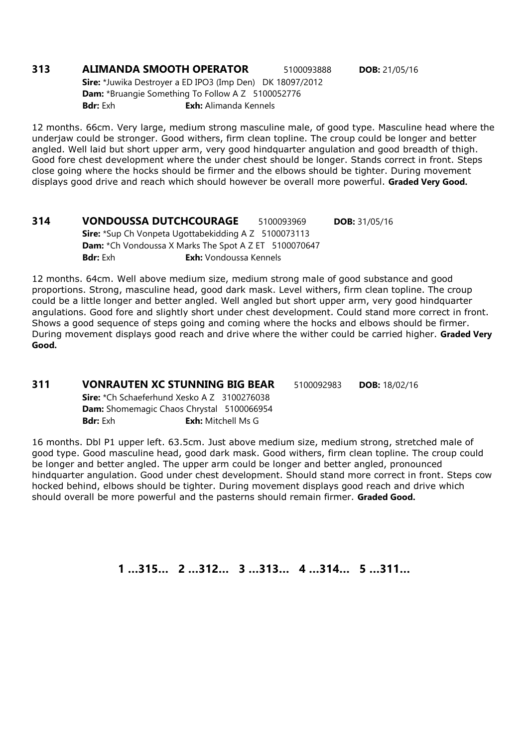### **313 ALIMANDA SMOOTH OPERATOR** 5100093888 **DOB:** 21/05/16 Sire: \*Juwika Destroyer a ED IPO3 (Imp Den) DK 18097/2012

Dam: \*Bruangie Something To Follow A Z 5100052776 **Bdr:** Exh: Alimanda Kennels

12 months. 66cm. Very large, medium strong masculine male, of good type. Masculine head where the underjaw could be stronger. Good withers, firm clean topline. The croup could be longer and better angled. Well laid but short upper arm, very good hindquarter angulation and good breadth of thigh. Good fore chest development where the under chest should be longer. Stands correct in front. Steps close going where the hocks should be firmer and the elbows should be tighter. During movement displays good drive and reach which should however be overall more powerful. Graded Very Good.

314 VONDOUSSA DUTCHCOURAGE 5100093969 DOB: 31/05/16 Sire: \*Sup Ch Vonpeta Ugottabekidding A Z 5100073113 Dam: \*Ch Vondoussa X Marks The Spot A Z ET 5100070647 Bdr: Exh **Exh:** Vondoussa Kennels

12 months. 64cm. Well above medium size, medium strong male of good substance and good proportions. Strong, masculine head, good dark mask. Level withers, firm clean topline. The croup could be a little longer and better angled. Well angled but short upper arm, very good hindquarter angulations. Good fore and slightly short under chest development. Could stand more correct in front. Shows a good sequence of steps going and coming where the hocks and elbows should be firmer. During movement displays good reach and drive where the wither could be carried higher. Graded Very Good.

### 311 VONRAUTEN XC STUNNING BIG BEAR 5100092983 DOB: 18/02/16 Sire: \*Ch Schaeferhund Xesko A Z 3100276038 Dam: Shomemagic Chaos Chrystal 5100066954 **Bdr:** Exh: Mitchell Ms G

16 months. Dbl P1 upper left. 63.5cm. Just above medium size, medium strong, stretched male of good type. Good masculine head, good dark mask. Good withers, firm clean topline. The croup could be longer and better angled. The upper arm could be longer and better angled, pronounced hindquarter angulation. Good under chest development. Should stand more correct in front. Steps cow hocked behind, elbows should be tighter. During movement displays good reach and drive which should overall be more powerful and the pasterns should remain firmer. Graded Good.

1 …315… 2 …312… 3 …313… 4 …314… 5 …311…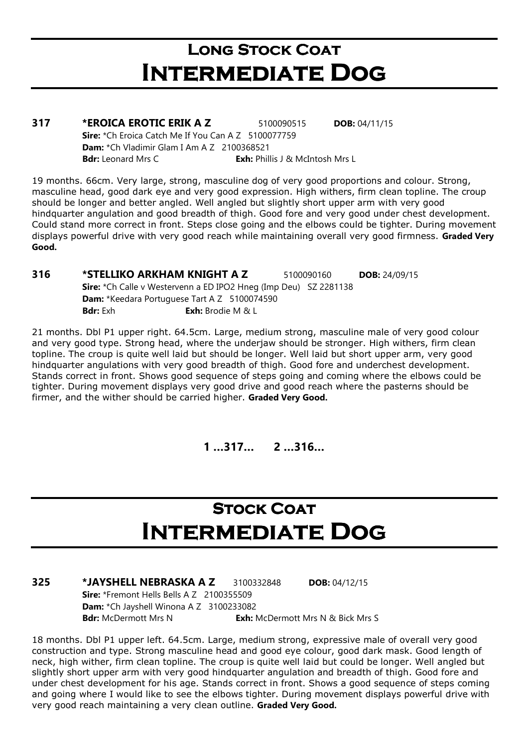## **LONG STOCK COAT** Intermediate Dog

| 317 | *EROICA EROTIC ERIK A Z                                    | 5100090515                             | <b>DOB:</b> $04/11/15$ |  |
|-----|------------------------------------------------------------|----------------------------------------|------------------------|--|
|     | <b>Sire:</b> *Ch Eroica Catch Me If You Can A Z 5100077759 |                                        |                        |  |
|     | <b>Dam:</b> $*$ Ch Vladimir Glam I Am A Z 2100368521       |                                        |                        |  |
|     | <b>Bdr:</b> Leonard Mrs C                                  | <b>Exh:</b> Phillis J & McIntosh Mrs L |                        |  |
|     |                                                            |                                        |                        |  |

19 months. 66cm. Very large, strong, masculine dog of very good proportions and colour. Strong, masculine head, good dark eye and very good expression. High withers, firm clean topline. The croup should be longer and better angled. Well angled but slightly short upper arm with very good hindquarter angulation and good breadth of thigh. Good fore and very good under chest development. Could stand more correct in front. Steps close going and the elbows could be tighter. During movement displays powerful drive with very good reach while maintaining overall very good firmness. Graded Very Good.

**316 \*STELLIKO ARKHAM KNIGHT A Z 5100090160 DOB: 24/09/15** Sire: \*Ch Calle v Westervenn a ED IPO2 Hneg (Imp Deu) SZ 2281138 Dam: \*Keedara Portuguese Tart A Z 5100074590 **Bdr:** Exh **Exh:** Brodie M & L

21 months. Dbl P1 upper right. 64.5cm. Large, medium strong, masculine male of very good colour and very good type. Strong head, where the underjaw should be stronger. High withers, firm clean topline. The croup is quite well laid but should be longer. Well laid but short upper arm, very good hindquarter angulations with very good breadth of thigh. Good fore and underchest development. Stands correct in front. Shows good sequence of steps going and coming where the elbows could be tighter. During movement displays very good drive and good reach where the pasterns should be firmer, and the wither should be carried higher. Graded Very Good.

1 …317… 2 …316…

## **STOCK COAT** Intermediate Dog

**325 \*JAYSHELL NEBRASKA A Z 3100332848 DOB: 04/12/15** Sire: \*Fremont Hells Bells A Z 2100355509 Dam: \*Ch Jayshell Winona A Z 3100233082 Bdr: McDermott Mrs N Exh: McDermott Mrs N & Bick Mrs S

18 months. Dbl P1 upper left. 64.5cm. Large, medium strong, expressive male of overall very good construction and type. Strong masculine head and good eye colour, good dark mask. Good length of neck, high wither, firm clean topline. The croup is quite well laid but could be longer. Well angled but slightly short upper arm with very good hindquarter angulation and breadth of thigh. Good fore and under chest development for his age. Stands correct in front. Shows a good sequence of steps coming and going where I would like to see the elbows tighter. During movement displays powerful drive with very good reach maintaining a very clean outline. Graded Very Good.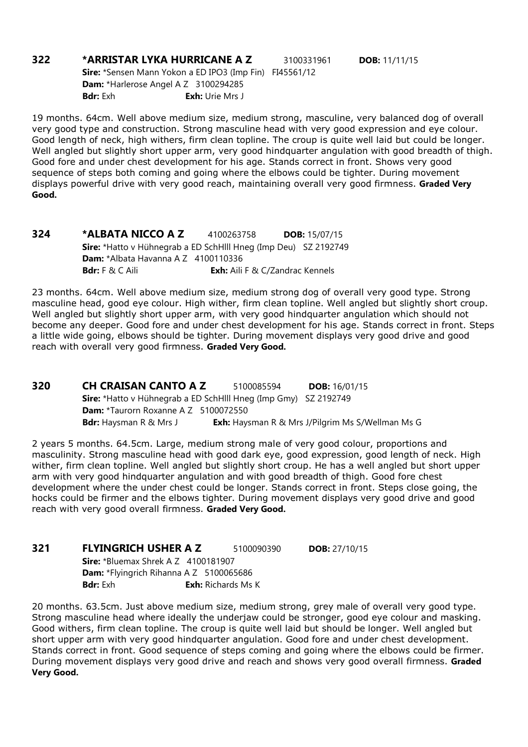### **322 \*ARRISTAR LYKA HURRICANE A Z 3100331961 DOB: 11/11/15** Sire: \*Sensen Mann Yokon a ED IPO3 (Imp Fin) FI45561/12 Dam: \*Harlerose Angel A Z 3100294285 Bdr: Exh **Exh:** Urie Mrs J

19 months. 64cm. Well above medium size, medium strong, masculine, very balanced dog of overall very good type and construction. Strong masculine head with very good expression and eye colour. Good length of neck, high withers, firm clean topline. The croup is quite well laid but could be longer. Well angled but slightly short upper arm, very good hindquarter angulation with good breadth of thigh. Good fore and under chest development for his age. Stands correct in front. Shows very good sequence of steps both coming and going where the elbows could be tighter. During movement displays powerful drive with very good reach, maintaining overall very good firmness. Graded Very Good.

**324 \*ALBATA NICCO A Z** 4100263758 **DOB:** 15/07/15 Sire: \*Hatto v Hühnegrab a ED SchHlll Hneg (Imp Deu) SZ 2192749 Dam: \*Albata Havanna A Z 4100110336 Bdr: F & C Aili **Exh:** Aili F & C/Zandrac Kennels

23 months. 64cm. Well above medium size, medium strong dog of overall very good type. Strong masculine head, good eye colour. High wither, firm clean topline. Well angled but slightly short croup. Well angled but slightly short upper arm, with very good hindquarter angulation which should not become any deeper. Good fore and under chest development for his age. Stands correct in front. Steps a little wide going, elbows should be tighter. During movement displays very good drive and good reach with overall very good firmness. Graded Very Good.

**320 CH CRAISAN CANTO A Z** 5100085594 **DOB:** 16/01/15 Sire: \*Hatto v Hühnegrab a ED SchHlll Hneg (Imp Gmy) SZ 2192749 Dam: \*Taurorn Roxanne A Z 5100072550 Bdr: Haysman R & Mrs J Exh: Haysman R & Mrs J/Pilgrim Ms S/Wellman Ms G

2 years 5 months. 64.5cm. Large, medium strong male of very good colour, proportions and masculinity. Strong masculine head with good dark eye, good expression, good length of neck. High wither, firm clean topline. Well angled but slightly short croup. He has a well angled but short upper arm with very good hindquarter angulation and with good breadth of thigh. Good fore chest development where the under chest could be longer. Stands correct in front. Steps close going, the hocks could be firmer and the elbows tighter. During movement displays very good drive and good reach with very good overall firmness. Graded Very Good.

| 321 | <b>FLYINGRICH USHER A Z</b>                    |  | 5100090390                | <b>DOB:</b> $27/10/15$ |  |
|-----|------------------------------------------------|--|---------------------------|------------------------|--|
|     | Sire: *Bluemax Shrek A Z 4100181907            |  |                           |                        |  |
|     | <b>Dam:</b> *Flyingrich Rihanna A Z 5100065686 |  |                           |                        |  |
|     | <b>Bdr:</b> Exh                                |  | <b>Exh:</b> Richards Ms K |                        |  |
|     |                                                |  |                           |                        |  |

20 months. 63.5cm. Just above medium size, medium strong, grey male of overall very good type. Strong masculine head where ideally the underjaw could be stronger, good eye colour and masking. Good withers, firm clean topline. The croup is quite well laid but should be longer. Well angled but short upper arm with very good hindquarter angulation. Good fore and under chest development. Stands correct in front. Good sequence of steps coming and going where the elbows could be firmer. During movement displays very good drive and reach and shows very good overall firmness. Graded Very Good.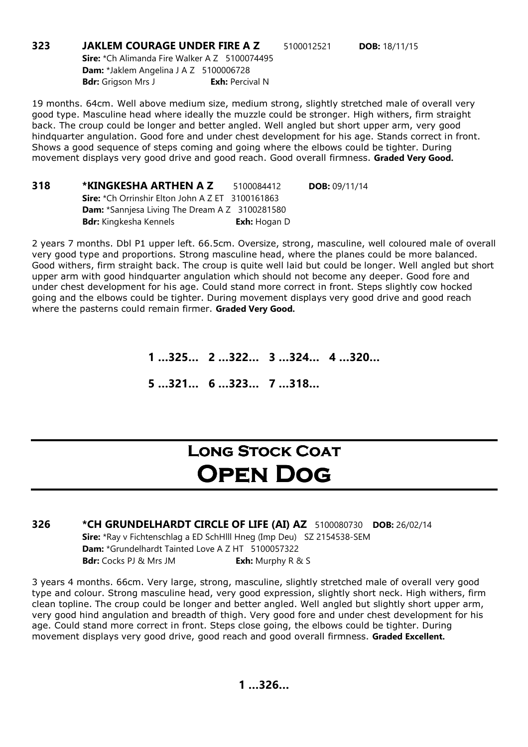**323 JAKLEM COURAGE UNDER FIRE A Z** 5100012521 **DOB:** 18/11/15 Sire: \*Ch Alimanda Fire Walker A Z 5100074495 Dam: \*Jaklem Angelina J A Z 5100006728 Bdr: Grigson Mrs J Exh: Percival N

19 months. 64cm. Well above medium size, medium strong, slightly stretched male of overall very good type. Masculine head where ideally the muzzle could be stronger. High withers, firm straight back. The croup could be longer and better angled. Well angled but short upper arm, very good hindquarter angulation. Good fore and under chest development for his age. Stands correct in front. Shows a good sequence of steps coming and going where the elbows could be tighter. During movement displays very good drive and good reach. Good overall firmness. Graded Very Good.

318 \*KINGKESHA ARTHEN A Z 5100084412 DOB: 09/11/14 Sire: \*Ch Orrinshir Elton John A Z ET 3100161863 Dam: \*Sannjesa Living The Dream A Z 3100281580 Bdr: Kingkesha Kennels **Exh:** Hogan D

2 years 7 months. Dbl P1 upper left. 66.5cm. Oversize, strong, masculine, well coloured male of overall very good type and proportions. Strong masculine head, where the planes could be more balanced. Good withers, firm straight back. The croup is quite well laid but could be longer. Well angled but short upper arm with good hindquarter angulation which should not become any deeper. Good fore and under chest development for his age. Could stand more correct in front. Steps slightly cow hocked going and the elbows could be tighter. During movement displays very good drive and good reach where the pasterns could remain firmer. Graded Very Good.

1 …325… 2 …322… 3 …324… 4 …320…

5 …321… 6 …323… 7 …318…

## LONG STOCK COAT Open Dog

326 \*CH GRUNDELHARDT CIRCLE OF LIFE (AI) AZ 5100080730 DOB: 26/02/14 Sire: \*Ray v Fichtenschlag a ED SchHlll Hneg (Imp Deu) SZ 2154538-SEM Dam: \*Grundelhardt Tainted Love A Z HT 5100057322 **Bdr:** Cocks PJ & Mrs JM **Exh:** Murphy R & S

3 years 4 months. 66cm. Very large, strong, masculine, slightly stretched male of overall very good type and colour. Strong masculine head, very good expression, slightly short neck. High withers, firm clean topline. The croup could be longer and better angled. Well angled but slightly short upper arm, very good hind angulation and breadth of thigh. Very good fore and under chest development for his age. Could stand more correct in front. Steps close going, the elbows could be tighter. During movement displays very good drive, good reach and good overall firmness. Graded Excellent.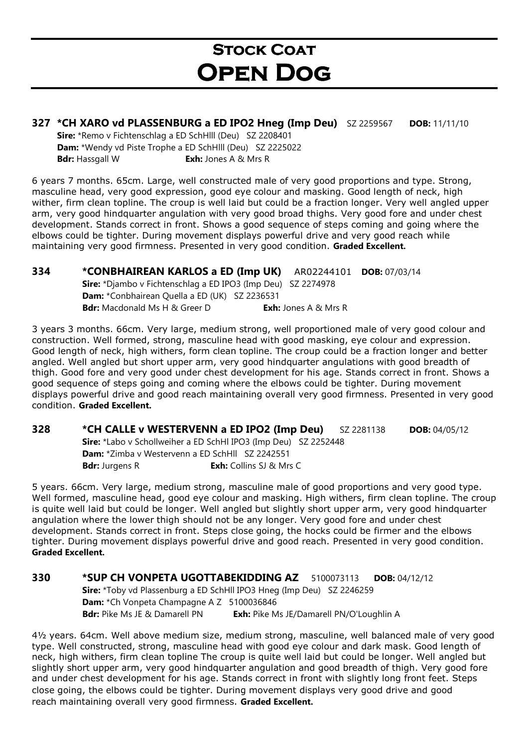## **STOCK COAT** Open Dog

### 327 \*CH XARO vd PLASSENBURG a ED IPO2 Hneg (Imp Deu) SZ 2259567 DOB: 11/11/10

Sire: \*Remo v Fichtenschlag a ED SchHlll (Deu) SZ 2208401 Dam: \*Wendy vd Piste Trophe a ED SchHlll (Deu) SZ 2225022 **Bdr:** Hassgall W **Exh:** Jones A & Mrs R

6 years 7 months. 65cm. Large, well constructed male of very good proportions and type. Strong, masculine head, very good expression, good eye colour and masking. Good length of neck, high wither, firm clean topline. The croup is well laid but could be a fraction longer. Very well angled upper arm, very good hindquarter angulation with very good broad thighs. Very good fore and under chest development. Stands correct in front. Shows a good sequence of steps coming and going where the elbows could be tighter. During movement displays powerful drive and very good reach while maintaining very good firmness. Presented in very good condition. Graded Excellent.

334 \*CONBHAIREAN KARLOS a ED (Imp UK) AR02244101 DOB: 07/03/14 Sire: \*Djambo v Fichtenschlag a ED IPO3 (Imp Deu) SZ 2274978 Dam: \*Conbhairean Quella a ED (UK) SZ 2236531 **Bdr:** Macdonald Ms H & Greer D **Exh:** Jones A & Mrs R

3 years 3 months. 66cm. Very large, medium strong, well proportioned male of very good colour and construction. Well formed, strong, masculine head with good masking, eye colour and expression. Good length of neck, high withers, form clean topline. The croup could be a fraction longer and better angled. Well angled but short upper arm, very good hindquarter angulations with good breadth of thigh. Good fore and very good under chest development for his age. Stands correct in front. Shows a good sequence of steps going and coming where the elbows could be tighter. During movement displays powerful drive and good reach maintaining overall very good firmness. Presented in very good condition. Graded Excellent.

328 \*CH CALLE v WESTERVENN a ED IPO2 (Imp Deu) SZ 2281138 DOB: 04/05/12 Sire: \*Labo v Schollweiher a ED SchHl IPO3 (Imp Deu) SZ 2252448 Dam: \*Zimba v Westervenn a ED SchHll SZ 2242551 **Bdr:** Jurgens R **Exh:** Collins SJ & Mrs C

5 years. 66cm. Very large, medium strong, masculine male of good proportions and very good type. Well formed, masculine head, good eye colour and masking. High withers, firm clean topline. The croup is quite well laid but could be longer. Well angled but slightly short upper arm, very good hindquarter angulation where the lower thigh should not be any longer. Very good fore and under chest development. Stands correct in front. Steps close going, the hocks could be firmer and the elbows tighter. During movement displays powerful drive and good reach. Presented in very good condition. Graded Excellent.

330 \*SUP CH VONPETA UGOTTABEKIDDING AZ 5100073113 DOB: 04/12/12 Sire: \*Toby vd Plassenburg a ED SchHll IPO3 Hneg (Imp Deu) SZ 2246259 Dam: \*Ch Vonpeta Champagne A Z 5100036846 Bdr: Pike Ms JE & Damarell PN Exh: Pike Ms JE/Damarell PN/O'Loughlin A

4½ years. 64cm. Well above medium size, medium strong, masculine, well balanced male of very good type. Well constructed, strong, masculine head with good eye colour and dark mask. Good length of neck, high withers, firm clean topline The croup is quite well laid but could be longer. Well angled but slightly short upper arm, very good hindquarter angulation and good breadth of thigh. Very good fore and under chest development for his age. Stands correct in front with slightly long front feet. Steps close going, the elbows could be tighter. During movement displays very good drive and good reach maintaining overall very good firmness. Graded Excellent.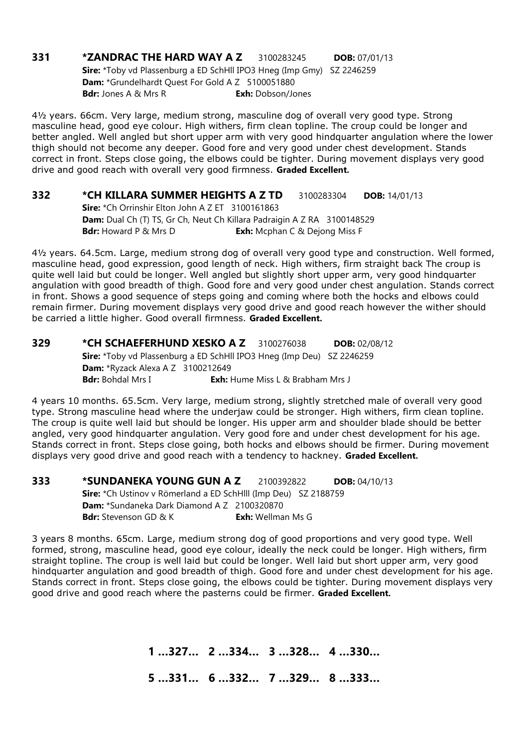### **331 \*ZANDRAC THE HARD WAY A Z** 3100283245 **DOB:** 07/01/13 Sire: \*Toby vd Plassenburg a ED SchHll IPO3 Hneg (Imp Gmy) SZ 2246259 Dam: \*Grundelhardt Quest For Gold A Z 5100051880 **Bdr:** Jones A & Mrs R **Exh:** Dobson/Jones

4½ years. 66cm. Very large, medium strong, masculine dog of overall very good type. Strong masculine head, good eye colour. High withers, firm clean topline. The croup could be longer and better angled. Well angled but short upper arm with very good hindquarter angulation where the lower thigh should not become any deeper. Good fore and very good under chest development. Stands correct in front. Steps close going, the elbows could be tighter. During movement displays very good drive and good reach with overall very good firmness. Graded Excellent.

**332 \*CH KILLARA SUMMER HEIGHTS A Z TD** 3100283304 DOB: 14/01/13 Sire: \*Ch Orrinshir Elton John A Z ET 3100161863 Dam: Dual Ch (T) TS, Gr Ch, Neut Ch Killara Padraigin A Z RA 3100148529 **Bdr:** Howard P & Mrs D **Exh:** Mcphan C & Dejong Miss F

4½ years. 64.5cm. Large, medium strong dog of overall very good type and construction. Well formed, masculine head, good expression, good length of neck. High withers, firm straight back The croup is quite well laid but could be longer. Well angled but slightly short upper arm, very good hindquarter angulation with good breadth of thigh. Good fore and very good under chest angulation. Stands correct in front. Shows a good sequence of steps going and coming where both the hocks and elbows could remain firmer. During movement displays very good drive and good reach however the wither should be carried a little higher. Good overall firmness. Graded Excellent.

**329 \*CH SCHAEFERHUND XESKO A Z** 3100276038 **DOB:** 02/08/12 Sire: \*Toby vd Plassenburg a ED SchHll IPO3 Hneg (Imp Deu) SZ 2246259 Dam: \*Ryzack Alexa A Z 3100212649 **Bdr:** Bohdal Mrs I **Exh:** Hume Miss L & Brabham Mrs J

4 years 10 months. 65.5cm. Very large, medium strong, slightly stretched male of overall very good type. Strong masculine head where the underjaw could be stronger. High withers, firm clean topline. The croup is quite well laid but should be longer. His upper arm and shoulder blade should be better angled, very good hindquarter angulation. Very good fore and under chest development for his age. Stands correct in front. Steps close going, both hocks and elbows should be firmer. During movement displays very good drive and good reach with a tendency to hackney. Graded Excellent.

**333 \*SUNDANEKA YOUNG GUN A Z** 2100392822 **DOB:** 04/10/13 Sire: \*Ch Ustinov v Römerland a ED SchHlll (Imp Deu) SZ 2188759 Dam: \*Sundaneka Dark Diamond A Z 2100320870 **Bdr:** Stevenson GD & K **Exh:** Wellman Ms G

3 years 8 months. 65cm. Large, medium strong dog of good proportions and very good type. Well formed, strong, masculine head, good eye colour, ideally the neck could be longer. High withers, firm straight topline. The croup is well laid but could be longer. Well laid but short upper arm, very good hindquarter angulation and good breadth of thigh. Good fore and under chest development for his age. Stands correct in front. Steps close going, the elbows could be tighter. During movement displays very good drive and good reach where the pasterns could be firmer. Graded Excellent.

1 …327… 2 …334… 3 …328… 4 …330…

5 …331… 6 …332… 7 …329… 8 …333…